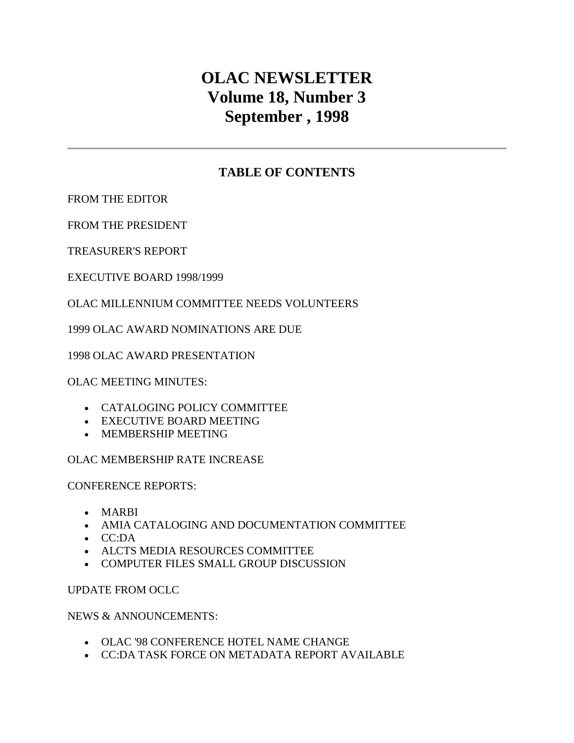# **OLAC NEWSLETTER Volume 18, Number 3 September , 1998**

## **TABLE OF CONTENTS**

[FROM THE EDITOR](http://ublib.buffalo.edu/libraries/units/cts/olac/newsletters/sept98.html#editor) 

[FROM THE PRESIDENT](http://ublib.buffalo.edu/libraries/units/cts/olac/newsletters/sept98.html#president)

[TREASURER'S REPORT](http://ublib.buffalo.edu/libraries/units/cts/olac/newsletters/sept98.html#treasurer) 

[EXECUTIVE BOARD 1998/1999](http://ublib.buffalo.edu/libraries/units/cts/olac/newsletters/sept98.html#exec_board) 

### [OLAC MILLENNIUM COMMITTEE NEEDS VOLUNTEERS](http://ublib.buffalo.edu/libraries/units/cts/olac/newsletters/sept98.html#volunteers)

[1999 OLAC AWARD NOMINATIONS ARE DUE](http://ublib.buffalo.edu/libraries/units/cts/olac/newsletters/sept98.html#nominations)

[1998 OLAC AWARD PRESENTATION](http://ublib.buffalo.edu/libraries/units/cts/olac/newsletters/sept98.html#award) 

[OLAC MEETING MINUTES:](http://ublib.buffalo.edu/libraries/units/cts/olac/newsletters/sept98.html#capc) 

- [CATALOGING POLICY COMMITTEE](http://ublib.buffalo.edu/libraries/units/cts/olac/newsletters/sept98.html#capc)
- [EXECUTIVE BOARD MEETING](http://ublib.buffalo.edu/libraries/units/cts/olac/newsletters/sept98.html#board_mtg)
- [MEMBERSHIP MEETING](http://ublib.buffalo.edu/libraries/units/cts/olac/newsletters/sept98.html#membership)

### [OLAC MEMBERSHIP RATE INCREASE](http://ublib.buffalo.edu/libraries/units/cts/olac/newsletters/sept98.html#rates)

[CONFERENCE REPORTS:](http://ublib.buffalo.edu/libraries/units/cts/olac/newsletters/sept98.html#marbi) 

- [MARBI](http://ublib.buffalo.edu/libraries/units/cts/olac/newsletters/sept98.html#marbi)
- [AMIA CATALOGING AND DOCUMENTATION COMMITTEE](http://ublib.buffalo.edu/libraries/units/cts/olac/newsletters/sept98.html#amia)
- [CC:DA](http://ublib.buffalo.edu/libraries/units/cts/olac/newsletters/sept98.html#ccda)
- [ALCTS MEDIA RESOURCES COMMITTEE](http://ublib.buffalo.edu/libraries/units/cts/olac/newsletters/sept98.html#media_resources)
- [COMPUTER FILES SMALL GROUP DISCUSSION](http://ublib.buffalo.edu/libraries/units/cts/olac/newsletters/sept98.html#computer_files)

[UPDATE FROM OCLC](http://ublib.buffalo.edu/libraries/units/cts/olac/newsletters/sept98.html#oclc)

[NEWS & ANNOUNCEMENTS:](http://ublib.buffalo.edu/libraries/units/cts/olac/newsletters/sept98.html#hotel) 

- OLAC '98 CONFERENCE [HOTEL NAME CHANGE](http://ublib.buffalo.edu/libraries/units/cts/olac/newsletters/sept98.html#hotel)
- [CC:DA TASK FORCE ON METADATA](http://ublib.buffalo.edu/libraries/units/cts/olac/newsletters/sept98.html#metadata) REPORT AVAILABLE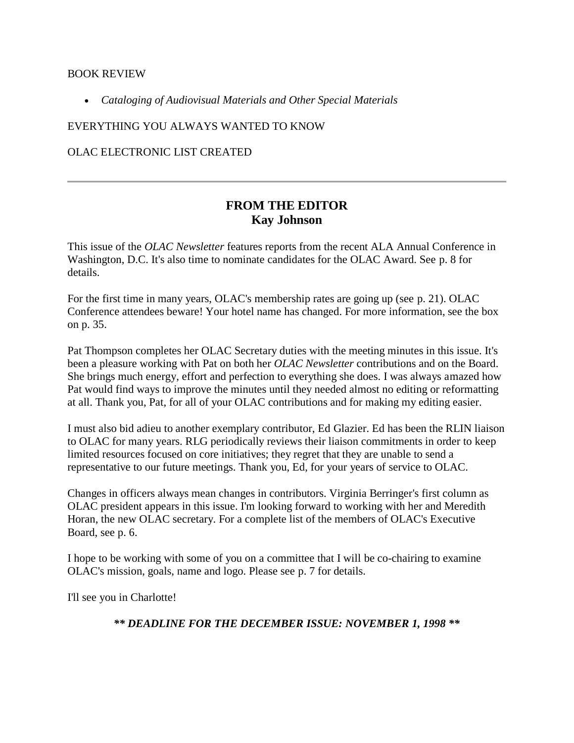#### [BOOK REVIEW](http://ublib.buffalo.edu/libraries/units/cts/olac/newsletters/sept98.html#book_review)

*[Cataloging of Audiovisual Materials and Other Special Materials](http://ublib.buffalo.edu/libraries/units/cts/olac/newsletters/sept98.html#book_review)*

[EVERYTHING YOU ALWAYS WANTED TO KNOW](http://ublib.buffalo.edu/libraries/units/cts/olac/newsletters/sept98.html#everything)

[OLAC ELECTRONIC LIST CREATED](http://ublib.buffalo.edu/libraries/units/cts/olac/newsletters/sept98.html#list) 

## **FROM THE EDITOR Kay Johnson**

This issue of the *OLAC Newsletter* features reports from the recent ALA Annual Conference in Washington, D.C. It's also time to nominate candidates for the OLAC Award. See [p. 8 f](http://ublib.buffalo.edu/libraries/units/cts/olac/newsletters/sept98.html#nominations)or details.

For the first time in many years, OLAC's membership rates are going up (see [p. 21\)](http://ublib.buffalo.edu/libraries/units/cts/olac/newsletters/sept98.html#rates). OLAC Conference attendees beware! Your hotel name has changed. For more information, see the box on [p. 35.](http://ublib.buffalo.edu/libraries/units/cts/olac/newsletters/sept98.html#hotel)

Pat Thompson completes her OLAC Secretary duties with the meeting minutes in this issue. It's been a pleasure working with Pat on both her *OLAC Newsletter* contributions and on the Board. She brings much energy, effort and perfection to everything she does. I was always amazed how Pat would find ways to improve the minutes until they needed almost no editing or reformatting at all. Thank you, Pat, for all of your OLAC contributions and for making my editing easier.

I must also bid adieu to another exemplary contributor, Ed Glazier. Ed has been the RLIN liaison to OLAC for many years. RLG periodically reviews their liaison commitments in order to keep limited resources focused on core initiatives; they regret that they are unable to send a representative to our future meetings. Thank you, Ed, for your years of service to OLAC.

Changes in officers always mean changes in contributors. Virginia Berringer's first column as OLAC president appears in this issue. I'm looking forward to working with her and Meredith Horan, the new OLAC secretary. For a complete list of the members of OLAC's Executive Board, see [p. 6.](http://ublib.buffalo.edu/libraries/units/cts/olac/newsletters/sept98.html#exec_board)

I hope to be working with some of you on a committee that I will be co-chairing to examine OLAC's mission, goals, name and logo. Please see [p. 7](http://ublib.buffalo.edu/libraries/units/cts/olac/newsletters/sept98.html#volunteers) for details.

I'll see you in Charlotte!

*\*\* DEADLINE FOR THE DECEMBER ISSUE: NOVEMBER 1, 1998 \*\**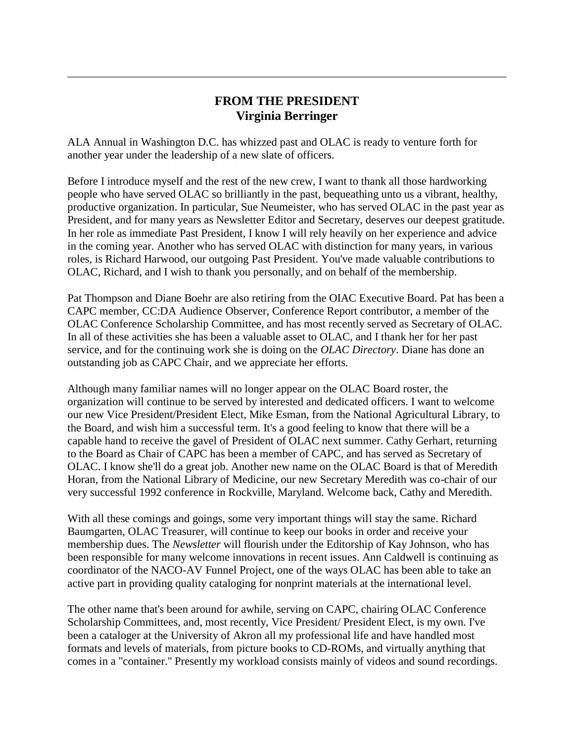### **FROM THE PRESIDENT Virginia Berringer**

ALA Annual in Washington D.C. has whizzed past and OLAC is ready to venture forth for another year under the leadership of a new slate of officers.

Before I introduce myself and the rest of the new crew, I want to thank all those hardworking people who have served OLAC so brilliantly in the past, bequeathing unto us a vibrant, healthy, productive organization. In particular, Sue Neumeister, who has served OLAC in the past year as President, and for many years as Newsletter Editor and Secretary, deserves our deepest gratitude. In her role as immediate Past President, I know I will rely heavily on her experience and advice in the coming year. Another who has served OLAC with distinction for many years, in various roles, is Richard Harwood, our outgoing Past President. You've made valuable contributions to OLAC, Richard, and I wish to thank you personally, and on behalf of the membership.

Pat Thompson and Diane Boehr are also retiring from the OIAC Executive Board. Pat has been a CAPC member, CC:DA Audience Observer, Conference Report contributor, a member of the OLAC Conference Scholarship Committee, and has most recently served as Secretary of OLAC. In all of these activities she has been a valuable asset to OLAC, and I thank her for her past service, and for the continuing work she is doing on the *OLAC Directory*. Diane has done an outstanding job as CAPC Chair, and we appreciate her efforts.

Although many familiar names will no longer appear on the OLAC Board roster, the organization will continue to be served by interested and dedicated officers. I want to welcome our new Vice President/President Elect, Mike Esman, from the National Agricultural Library, to the Board, and wish him a successful term. It's a good feeling to know that there will be a capable hand to receive the gavel of President of OLAC next summer. Cathy Gerhart, returning to the Board as Chair of CAPC has been a member of CAPC, and has served as Secretary of OLAC. I know she'll do a great job. Another new name on the OLAC Board is that of Meredith Horan, from the National Library of Medicine, our new Secretary Meredith was co-chair of our very successful 1992 conference in Rockville, Maryland. Welcome back, Cathy and Meredith.

With all these comings and goings, some very important things will stay the same. Richard Baumgarten, OLAC Treasurer, will continue to keep our books in order and receive your membership dues. The *Newsletter* will flourish under the Editorship of Kay Johnson, who has been responsible for many welcome innovations in recent issues. Ann Caldwell is continuing as coordinator of the NACO-AV Funnel Project, one of the ways OLAC has been able to take an active part in providing quality cataloging for nonprint materials at the international level.

The other name that's been around for awhile, serving on CAPC, chairing OLAC Conference Scholarship Committees, and, most recently, Vice President/ President Elect, is my own. I've been a cataloger at the University of Akron all my professional life and have handled most formats and levels of materials, from picture books to CD-ROMs, and virtually anything that comes in a "container." Presently my workload consists mainly of videos and sound recordings.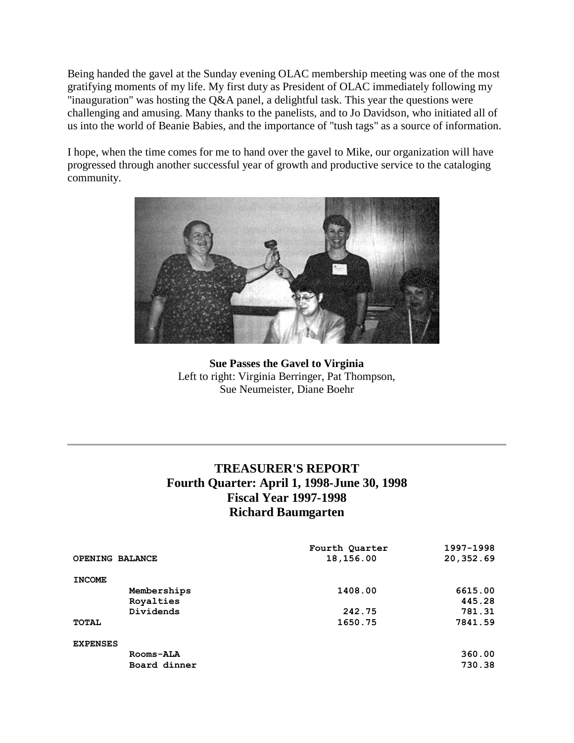Being handed the gavel at the Sunday evening OLAC membership meeting was one of the most gratifying moments of my life. My first duty as President of OLAC immediately following my "inauguration" was hosting the Q&A panel, a delightful task. This year the questions were challenging and amusing. Many thanks to the panelists, and to Jo Davidson, who initiated all of us into the world of Beanie Babies, and the importance of "tush tags" as a source of information.

I hope, when the time comes for me to hand over the gavel to Mike, our organization will have progressed through another successful year of growth and productive service to the cataloging community.



**Sue Passes the Gavel to Virginia** Left to right: Virginia Berringer, Pat Thompson, Sue Neumeister, Diane Boehr

## **TREASURER'S REPORT Fourth Quarter: April 1, 1998-June 30, 1998 Fiscal Year 1997-1998 Richard Baumgarten**

|                 |              | Fourth Quarter | 1997-1998 |
|-----------------|--------------|----------------|-----------|
| OPENING BALANCE |              | 18,156.00      | 20,352.69 |
|                 |              |                |           |
| <b>INCOME</b>   |              |                |           |
|                 | Memberships  | 1408.00        | 6615.00   |
|                 | Royalties    |                | 445.28    |
|                 | Dividends    | 242.75         | 781.31    |
| TOTAL           |              | 1650.75        | 7841.59   |
|                 |              |                |           |
| <b>EXPENSES</b> |              |                |           |
|                 | Rooms-ALA    |                | 360.00    |
|                 | Board dinner |                | 730.38    |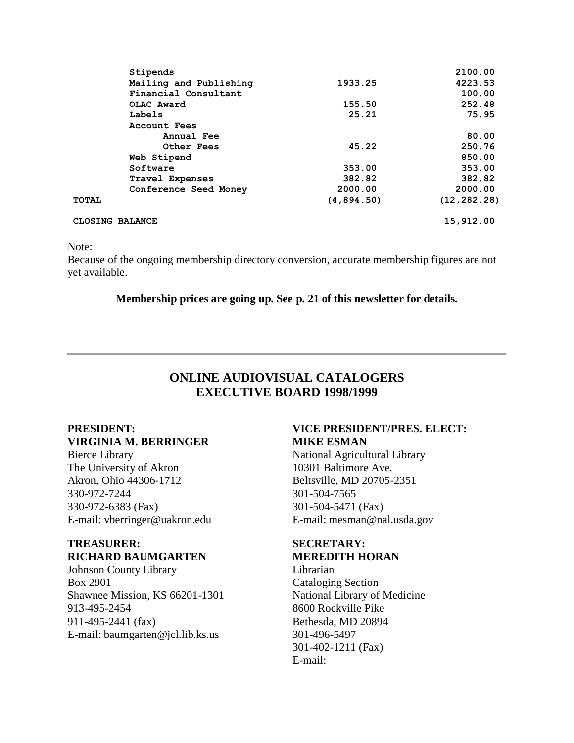| Stipends               |            | 2100.00       |
|------------------------|------------|---------------|
| Mailing and Publishing | 1933.25    | 4223.53       |
| Financial Consultant   |            | 100.00        |
| OLAC Award             | 155.50     | 252.48        |
| Labels                 | 25.21      | 75.95         |
| Account Fees           |            |               |
| Annual Fee             |            | 80.00         |
| <b>Other Fees</b>      | 45.22      | 250.76        |
| Web Stipend            |            | 850.00        |
| Software               | 353.00     | 353.00        |
| <b>Travel Expenses</b> | 382.82     | 382.82        |
| Conference Seed Money  | 2000.00    | 2000.00       |
| <b>TOTAL</b>           | (4,894.50) | (12, 282, 28) |
| CLOSING BALANCE        |            | 15,912.00     |

Note:

Because of the ongoing membership directory conversion, accurate membership figures are not yet available.

**Membership prices are going up. See [p. 21](http://ublib.buffalo.edu/libraries/units/cts/olac/newsletters/sept98.html#rates) of this newsletter for details.**

## **ONLINE AUDIOVISUAL CATALOGERS EXECUTIVE BOARD 1998/1999**

### **PRESIDENT: VIRGINIA M. BERRINGER**

Bierce Library The University of Akron Akron, Ohio 44306-1712 330-972-7244 330-972-6383 (Fax) E-mail: [vberringer@uakron.edu](mailto:vberringer@uakron.edu)

### **TREASURER: RICHARD BAUMGARTEN**

Johnson County Library Box 2901 Shawnee Mission, KS 66201-1301 913-495-2454 911-495-2441 (fax) E-mail: [baumgarten@jcl.lib.ks.us](mailto:baumgarten@jcl.lib.ks.us)

### **VICE PRESIDENT/PRES. ELECT: MIKE ESMAN**

National Agricultural Library 10301 Baltimore Ave. Beltsville, MD 20705-2351 301-504-7565 301-504-5471 (Fax) E-mail: [mesman@nal.usda.gov](mailto:mesman@nal.usda.gov)

### **SECRETARY: MEREDITH HORAN**

Librarian Cataloging Section National Library of Medicine 8600 Rockville Pike Bethesda, MD 20894 301-496-5497 301-402-1211 (Fax) E-mail: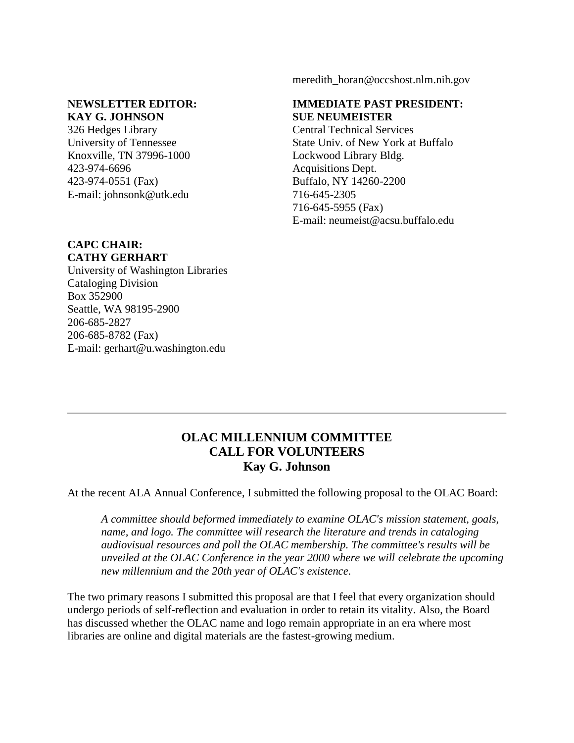#### [meredith\\_horan@occshost.nlm.nih.gov](mailto:meredith_horan@occshost.nlm.nih.gov)

#### **NEWSLETTER EDITOR: KAY G. JOHNSON**

326 Hedges Library University of Tennessee Knoxville, TN 37996-1000 423-974-6696 423-974-0551 (Fax) E-mail: [johnsonk@utk.edu](mailto:johnsonk@utk.edu)

#### **IMMEDIATE PAST PRESIDENT: SUE NEUMEISTER**

Central Technical Services State Univ. of New York at Buffalo Lockwood Library Bldg. Acquisitions Dept. Buffalo, NY 14260-2200 716-645-2305 716-645-5955 (Fax) E-mail: [neumeist@acsu.buffalo.edu](mailto:neumeist@acsu.buffalo.edu)

### **CAPC CHAIR: CATHY GERHART**

University of Washington Libraries Cataloging Division Box 352900 Seattle, WA 98195-2900 206-685-2827 206-685-8782 (Fax) E-mail: [gerhart@u.washington.edu](mailto:gerhart@u.washington.edu)

### **OLAC MILLENNIUM COMMITTEE CALL FOR VOLUNTEERS Kay G. Johnson**

At the recent ALA Annual Conference, I submitted the following proposal to the OLAC Board:

*A committee should beformed immediately to examine OLAC's mission statement, goals, name, and logo. The committee will research the literature and trends in cataloging audiovisual resources and poll the OLAC membership. The committee's results will be unveiled at the OLAC Conference in the year 2000 where we will celebrate the upcoming new millennium and the 20th year of OLAC's existence.*

The two primary reasons I submitted this proposal are that I feel that every organization should undergo periods of self-reflection and evaluation in order to retain its vitality. Also, the Board has discussed whether the OLAC name and logo remain appropriate in an era where most libraries are online and digital materials are the fastest-growing medium.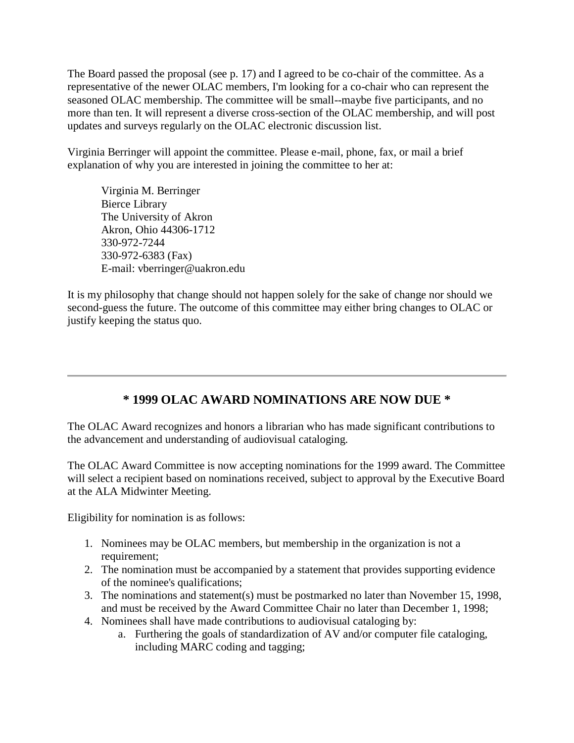The Board passed the proposal (see p. 17) and I agreed to be co-chair of the committee. As a representative of the newer OLAC members, I'm looking for a co-chair who can represent the seasoned OLAC membership. The committee will be small--maybe five participants, and no more than ten. It will represent a diverse cross-section of the OLAC membership, and will post updates and surveys regularly on the OLAC electronic discussion list.

Virginia Berringer will appoint the committee. Please e-mail, phone, fax, or mail a brief explanation of why you are interested in joining the committee to her at:

Virginia M. Berringer Bierce Library The University of Akron Akron, Ohio 44306-1712 330-972-7244 330-972-6383 (Fax) E-mail: [vberringer@uakron.edu](mailto:vberringer@uakron.edu)

It is my philosophy that change should not happen solely for the sake of change nor should we second-guess the future. The outcome of this committee may either bring changes to OLAC or justify keeping the status quo.

## **\* 1999 OLAC AWARD NOMINATIONS ARE NOW DUE \***

The OLAC Award recognizes and honors a librarian who has made significant contributions to the advancement and understanding of audiovisual cataloging.

The OLAC Award Committee is now accepting nominations for the 1999 award. The Committee will select a recipient based on nominations received, subject to approval by the Executive Board at the ALA Midwinter Meeting.

Eligibility for nomination is as follows:

- 1. Nominees may be OLAC members, but membership in the organization is not a requirement;
- 2. The nomination must be accompanied by a statement that provides supporting evidence of the nominee's qualifications;
- 3. The nominations and statement(s) must be postmarked no later than November 15, 1998, and must be received by the Award Committee Chair no later than December 1, 1998;
- 4. Nominees shall have made contributions to audiovisual cataloging by:
	- a. Furthering the goals of standardization of AV and/or computer file cataloging, including MARC coding and tagging;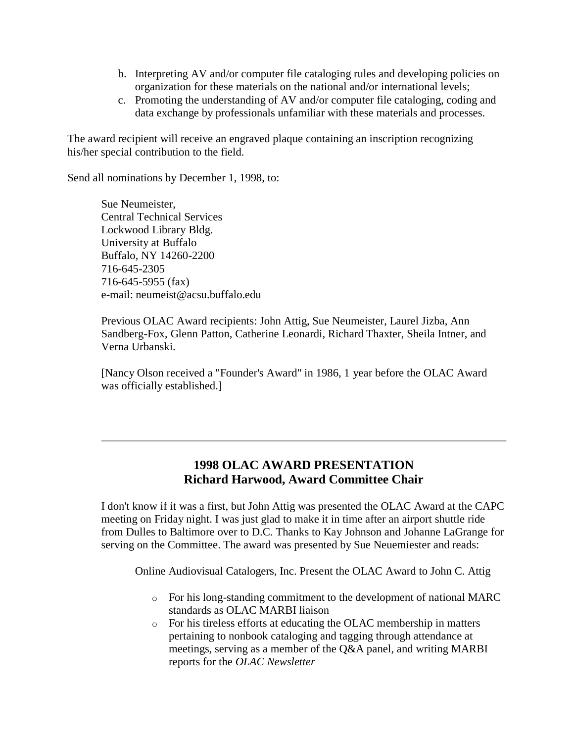- b. Interpreting AV and/or computer file cataloging rules and developing policies on organization for these materials on the national and/or international levels;
- c. Promoting the understanding of AV and/or computer file cataloging, coding and data exchange by professionals unfamiliar with these materials and processes.

The award recipient will receive an engraved plaque containing an inscription recognizing his/her special contribution to the field.

Send all nominations by December 1, 1998, to:

Sue Neumeister, Central Technical Services Lockwood Library Bldg. University at Buffalo Buffalo, NY 14260-2200 716-645-2305 716-645-5955 (fax) e-mail: [neumeist@acsu.buffalo.edu](mailto:neumeist@acsu.buffalo.edu)

Previous OLAC Award recipients: John Attig, Sue Neumeister, Laurel Jizba, Ann Sandberg-Fox, Glenn Patton, Catherine Leonardi, Richard Thaxter, Sheila Intner, and Verna Urbanski.

[Nancy Olson received a "Founder's Award" in 1986, 1 year before the OLAC Award was officially established.]

## **1998 OLAC AWARD PRESENTATION Richard Harwood, Award Committee Chair**

I don't know if it was a first, but John Attig was presented the OLAC Award at the CAPC meeting on Friday night. I was just glad to make it in time after an airport shuttle ride from Dulles to Baltimore over to D.C. Thanks to Kay Johnson and Johanne LaGrange for serving on the Committee. The award was presented by Sue Neuemiester and reads:

Online Audiovisual Catalogers, Inc. Present the OLAC Award to John C. Attig

- o For his long-standing commitment to the development of national MARC standards as OLAC MARBI liaison
- o For his tireless efforts at educating the OLAC membership in matters pertaining to nonbook cataloging and tagging through attendance at meetings, serving as a member of the Q&A panel, and writing MARBI reports for the *OLAC Newsletter*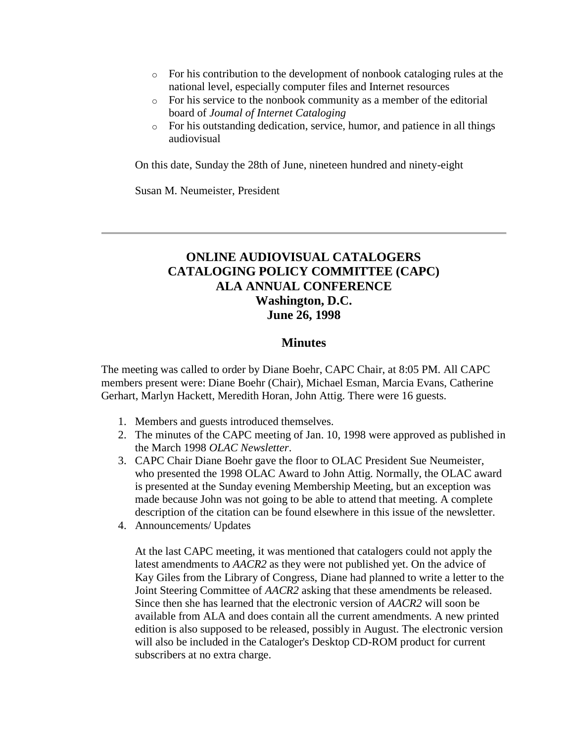- $\circ$  For his contribution to the development of nonbook cataloging rules at the national level, especially computer files and Internet resources
- o For his service to the nonbook community as a member of the editorial board of *Joumal of Internet Cataloging*
- o For his outstanding dedication, service, humor, and patience in all things audiovisual

On this date, Sunday the 28th of June, nineteen hundred and ninety-eight

Susan M. Neumeister, President

## **ONLINE AUDIOVISUAL CATALOGERS CATALOGING POLICY COMMITTEE (CAPC) ALA ANNUAL CONFERENCE Washington, D.C. June 26, 1998**

#### **Minutes**

The meeting was called to order by Diane Boehr, CAPC Chair, at 8:05 PM. All CAPC members present were: Diane Boehr (Chair), Michael Esman, Marcia Evans, Catherine Gerhart, Marlyn Hackett, Meredith Horan, John Attig. There were 16 guests.

- 1. Members and guests introduced themselves.
- 2. The [minutes](http://ublib.buffalo.edu/libraries/units/cts/olac/newsletters/march98.html#capc) of the CAPC meeting of Jan. 10, 1998 were approved as published in the March 1998 *OLAC Newsletter*.
- 3. CAPC Chair Diane Boehr gave the floor to OLAC President Sue Neumeister, who presented the 1998 OLAC Award to John Attig. Normally, the OLAC award is presented at the Sunday evening Membership Meeting, but an exception was made because John was not going to be able to attend that meeting. A complete [description of the citation](http://ublib.buffalo.edu/libraries/units/cts/olac/newsletters/sept98.html#award) can be found elsewhere in this issue of the newsletter.
- 4. Announcements/ Updates

At the last CAPC meeting, it was mentioned that catalogers could not apply the latest amendments to *AACR2* as they were not published yet. On the advice of Kay Giles from the Library of Congress, Diane had planned to write a letter to the Joint Steering Committee of *AACR2* asking that these amendments be released. Since then she has learned that the electronic version of *AACR2* will soon be available from ALA and does contain all the current amendments. A new printed edition is also supposed to be released, possibly in August. The electronic version will also be included in the Cataloger's Desktop CD-ROM product for current subscribers at no extra charge.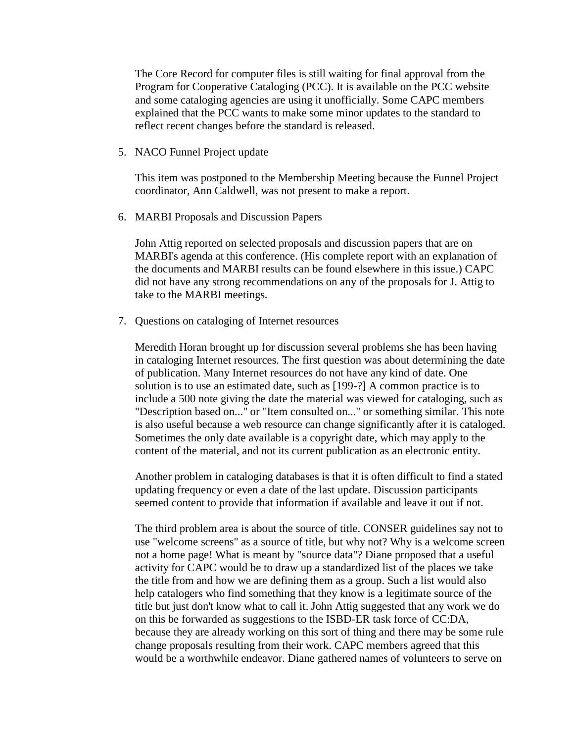The Core Record for computer files is still waiting for final approval from the Program for Cooperative Cataloging (PCC). It is available on the [PCC website](http://lcweb.loc.gov/catdir/pcc/pcc.html) and some cataloging agencies are using it unofficially. Some CAPC members explained that the PCC wants to make some minor updates to the standard to reflect recent changes before the standard is released.

5. NACO Funnel Project update

This item was postponed to the Membership Meeting because the Funnel Project coordinator, Ann Caldwell, was not present to make a report.

6. MARBI Proposals and Discussion Papers

John Attig reported on selected proposals and discussion papers that are on MARBI's agenda at this conference. (His complete report with an explanation of the documents and MARBI results can be found elsewhere in this issue.) CAPC did not have any strong recommendations on any of the proposals for J. Attig to take to the MARBI meetings.

7. Questions on cataloging of Internet resources

Meredith Horan brought up for discussion several problems she has been having in cataloging Internet resources. The first question was about determining the date of publication. Many Internet resources do not have any kind of date. One solution is to use an estimated date, such as [199-?] A common practice is to include a 500 note giving the date the material was viewed for cataloging, such as "Description based on..." or "Item consulted on..." or something similar. This note is also useful because a web resource can change significantly after it is cataloged. Sometimes the only date available is a copyright date, which may apply to the content of the material, and not its current publication as an electronic entity.

Another problem in cataloging databases is that it is often difficult to find a stated updating frequency or even a date of the last update. Discussion participants seemed content to provide that information if available and leave it out if not.

The third problem area is about the source of title. CONSER guidelines say not to use "welcome screens" as a source of title, but why not? Why is a welcome screen not a home page! What is meant by "source data"? Diane proposed that a useful activity for CAPC would be to draw up a standardized list of the places we take the title from and how we are defining them as a group. Such a list would also help catalogers who find something that they know is a legitimate source of the title but just don't know what to call it. John Attig suggested that any work we do on this be forwarded as suggestions to the ISBD-ER task force of CC:DA, because they are already working on this sort of thing and there may be some rule change proposals resulting from their work. CAPC members agreed that this would be a worthwhile endeavor. Diane gathered names of volunteers to serve on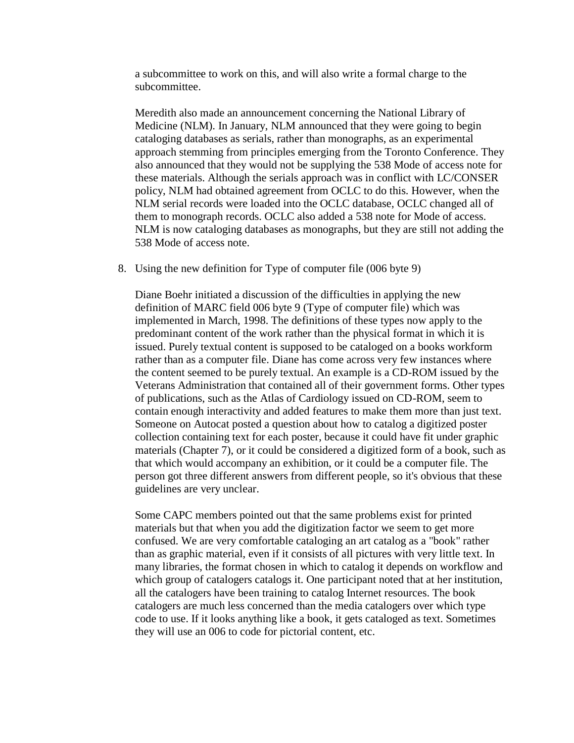a subcommittee to work on this, and will also write a formal charge to the subcommittee.

Meredith also made an announcement concerning the National Library of Medicine (NLM). In January, NLM announced that they were going to begin cataloging databases as serials, rather than monographs, as an experimental approach stemming from principles emerging from the Toronto Conference. They also announced that they would not be supplying the 538 Mode of access note for these materials. Although the serials approach was in conflict with LC/CONSER policy, NLM had obtained agreement from OCLC to do this. However, when the NLM serial records were loaded into the OCLC database, OCLC changed all of them to monograph records. OCLC also added a 538 note for Mode of access. NLM is now cataloging databases as monographs, but they are still not adding the 538 Mode of access note.

8. Using the new definition for Type of computer file (006 byte 9)

Diane Boehr initiated a discussion of the difficulties in applying the new definition of MARC field 006 byte 9 (Type of computer file) which was implemented in March, 1998. The definitions of these types now apply to the predominant content of the work rather than the physical format in which it is issued. Purely textual content is supposed to be cataloged on a books workform rather than as a computer file. Diane has come across very few instances where the content seemed to be purely textual. An example is a CD-ROM issued by the Veterans Administration that contained all of their government forms. Other types of publications, such as the Atlas of Cardiology issued on CD-ROM, seem to contain enough interactivity and added features to make them more than just text. Someone on Autocat posted a question about how to catalog a digitized poster collection containing text for each poster, because it could have fit under graphic materials (Chapter 7), or it could be considered a digitized form of a book, such as that which would accompany an exhibition, or it could be a computer file. The person got three different answers from different people, so it's obvious that these guidelines are very unclear.

Some CAPC members pointed out that the same problems exist for printed materials but that when you add the digitization factor we seem to get more confused. We are very comfortable cataloging an art catalog as a "book" rather than as graphic material, even if it consists of all pictures with very little text. In many libraries, the format chosen in which to catalog it depends on workflow and which group of catalogers catalogs it. One participant noted that at her institution, all the catalogers have been training to catalog Internet resources. The book catalogers are much less concerned than the media catalogers over which type code to use. If it looks anything like a book, it gets cataloged as text. Sometimes they will use an 006 to code for pictorial content, etc.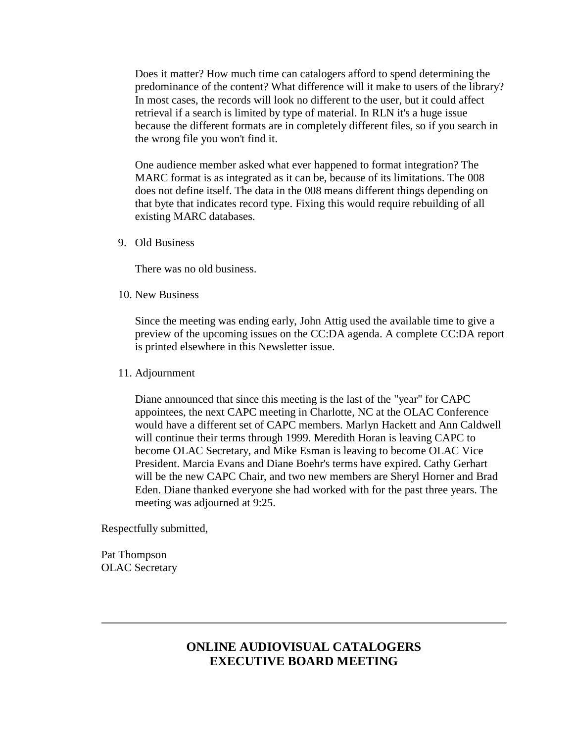Does it matter? How much time can catalogers afford to spend determining the predominance of the content? What difference will it make to users of the library? In most cases, the records will look no different to the user, but it could affect retrieval if a search is limited by type of material. In RLN it's a huge issue because the different formats are in completely different files, so if you search in the wrong file you won't find it.

One audience member asked what ever happened to format integration? The MARC format is as integrated as it can be, because of its limitations. The 008 does not define itself. The data in the 008 means different things depending on that byte that indicates record type. Fixing this would require rebuilding of all existing MARC databases.

9. Old Business

There was no old business.

10. New Business

Since the meeting was ending early, John Attig used the available time to give a preview of the upcoming issues on the CC:DA agenda. A complete [CC:DA report](http://ublib.buffalo.edu/libraries/units/cts/olac/newsletters/sept98.html#ccda) is printed elsewhere in this Newsletter issue.

#### 11. Adjournment

Diane announced that since this meeting is the last of the "year" for CAPC appointees, the next CAPC meeting in Charlotte, NC at the OLAC Conference would have a different set of CAPC members. Marlyn Hackett and Ann Caldwell will continue their terms through 1999. Meredith Horan is leaving CAPC to become OLAC Secretary, and Mike Esman is leaving to become OLAC Vice President. Marcia Evans and Diane Boehr's terms have expired. Cathy Gerhart will be the new CAPC Chair, and two new members are Sheryl Horner and Brad Eden. Diane thanked everyone she had worked with for the past three years. The meeting was adjourned at 9:25.

Respectfully submitted,

Pat Thompson OLAC Secretary

### **ONLINE AUDIOVISUAL CATALOGERS EXECUTIVE BOARD MEETING**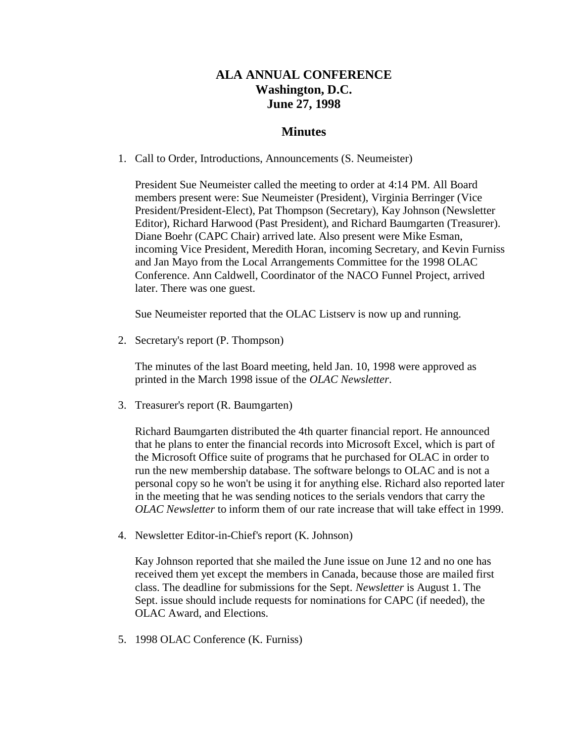## **ALA ANNUAL CONFERENCE Washington, D.C. June 27, 1998**

### **Minutes**

1. Call to Order, Introductions, Announcements (S. Neumeister)

President Sue Neumeister called the meeting to order at 4:14 PM. All Board members present were: Sue Neumeister (President), Virginia Berringer (Vice President/President-Elect), Pat Thompson (Secretary), Kay Johnson (Newsletter Editor), Richard Harwood (Past President), and Richard Baumgarten (Treasurer). Diane Boehr (CAPC Chair) arrived late. Also present were Mike Esman, incoming Vice President, Meredith Horan, incoming Secretary, and Kevin Furniss and Jan Mayo from the Local Arrangements Committee for the 1998 OLAC Conference. Ann Caldwell, Coordinator of the NACO Funnel Project, arrived later. There was one guest.

Sue Neumeister reported that the OLAC Listserv is now up and running.

2. Secretary's report (P. Thompson)

The [minutes](http://ublib.buffalo.edu/libraries/units/cts/olac/newsletters/march98.html#exec_board) of the last Board meeting, held Jan. 10, 1998 were approved as printed in the March 1998 issue of the *OLAC Newsletter*.

3. Treasurer's report (R. Baumgarten)

Richard Baumgarten distributed the 4th quarter financial report. He announced that he plans to enter the financial records into Microsoft Excel, which is part of the Microsoft Office suite of programs that he purchased for OLAC in order to run the new membership database. The software belongs to OLAC and is not a personal copy so he won't be using it for anything else. Richard also reported later in the meeting that he was sending notices to the serials vendors that carry the *OLAC Newsletter* to inform them of our rate increase that will take effect in 1999.

4. Newsletter Editor-in-Chief's report (K. Johnson)

Kay Johnson reported that she mailed the June issue on June 12 and no one has received them yet except the members in Canada, because those are mailed first class. The deadline for submissions for the Sept. *Newsletter* is August 1. The Sept. issue should include requests for nominations for CAPC (if needed), the OLAC Award, and Elections.

5. 1998 OLAC Conference (K. Furniss)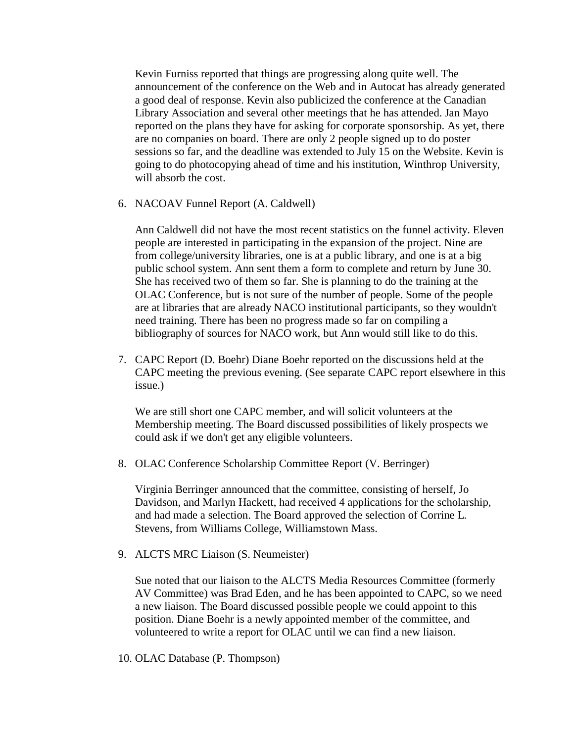Kevin Furniss reported that things are progressing along quite well. The announcement of the conference on the Web and in Autocat has already generated a good deal of response. Kevin also publicized the conference at the Canadian Library Association and several other meetings that he has attended. Jan Mayo reported on the plans they have for asking for corporate sponsorship. As yet, there are no companies on board. There are only 2 people signed up to do poster sessions so far, and the deadline was extended to July 15 on the Website. Kevin is going to do photocopying ahead of time and his institution, Winthrop University, will absorb the cost.

6. NACOAV Funnel Report (A. Caldwell)

Ann Caldwell did not have the most recent statistics on the funnel activity. Eleven people are interested in participating in the expansion of the project. Nine are from college/university libraries, one is at a public library, and one is at a big public school system. Ann sent them a form to complete and return by June 30. She has received two of them so far. She is planning to do the training at the OLAC Conference, but is not sure of the number of people. Some of the people are at libraries that are already NACO institutional participants, so they wouldn't need training. There has been no progress made so far on compiling a bibliography of sources for NACO work, but Ann would still like to do this.

7. CAPC Report (D. Boehr) Diane Boehr reported on the discussions held at the CAPC meeting the previous evening. (See separate [CAPC report](http://ublib.buffalo.edu/libraries/units/cts/olac/newsletters/sept98.html#capc) elsewhere in this issue.)

We are still short one CAPC member, and will solicit volunteers at the Membership meeting. The Board discussed possibilities of likely prospects we could ask if we don't get any eligible volunteers.

8. OLAC Conference Scholarship Committee Report (V. Berringer)

Virginia Berringer announced that the committee, consisting of herself, Jo Davidson, and Marlyn Hackett, had received 4 applications for the scholarship, and had made a selection. The Board approved the selection of Corrine L. Stevens, from Williams College, Williamstown Mass.

9. ALCTS MRC Liaison (S. Neumeister)

Sue noted that our liaison to the ALCTS Media Resources Committee (formerly AV Committee) was Brad Eden, and he has been appointed to CAPC, so we need a new liaison. The Board discussed possible people we could appoint to this position. Diane Boehr is a newly appointed member of the committee, and volunteered to write a report for OLAC until we can find a new liaison.

10. OLAC Database (P. Thompson)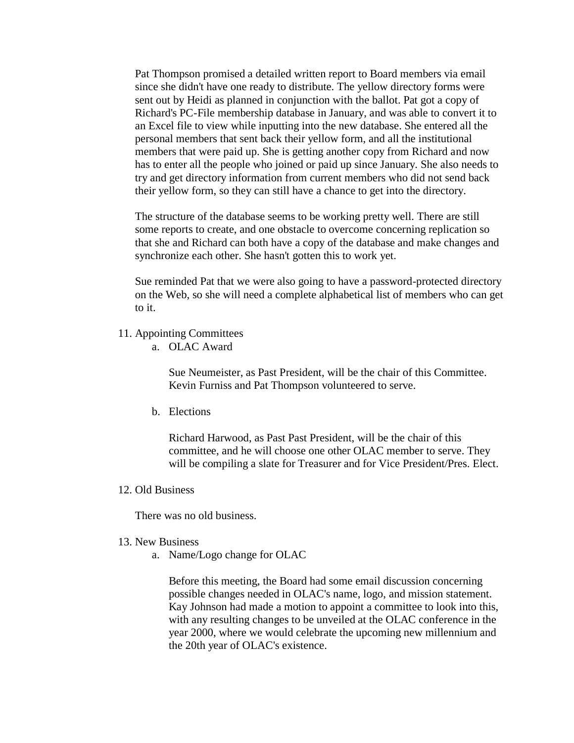Pat Thompson promised a detailed written report to Board members via email since she didn't have one ready to distribute. The yellow directory forms were sent out by Heidi as planned in conjunction with the ballot. Pat got a copy of Richard's PC-File membership database in January, and was able to convert it to an Excel file to view while inputting into the new database. She entered all the personal members that sent back their yellow form, and all the institutional members that were paid up. She is getting another copy from Richard and now has to enter all the people who joined or paid up since January. She also needs to try and get directory information from current members who did not send back their yellow form, so they can still have a chance to get into the directory.

The structure of the database seems to be working pretty well. There are still some reports to create, and one obstacle to overcome concerning replication so that she and Richard can both have a copy of the database and make changes and synchronize each other. She hasn't gotten this to work yet.

Sue reminded Pat that we were also going to have a password-protected directory on the Web, so she will need a complete alphabetical list of members who can get to it.

- 11. Appointing Committees
	- a. OLAC Award

Sue Neumeister, as Past President, will be the chair of this Committee. Kevin Furniss and Pat Thompson volunteered to serve.

b. Elections

Richard Harwood, as Past Past President, will be the chair of this committee, and he will choose one other OLAC member to serve. They will be compiling a slate for Treasurer and for Vice President/Pres. Elect.

#### 12. Old Business

There was no old business.

- 13. New Business
	- a. Name/Logo change for OLAC

Before this meeting, the Board had some email discussion concerning possible changes needed in OLAC's name, logo, and mission statement. Kay Johnson had made a motion to appoint a committee to look into this, with any resulting changes to be unveiled at the OLAC conference in the year 2000, where we would celebrate the upcoming new millennium and the 20th year of OLAC's existence.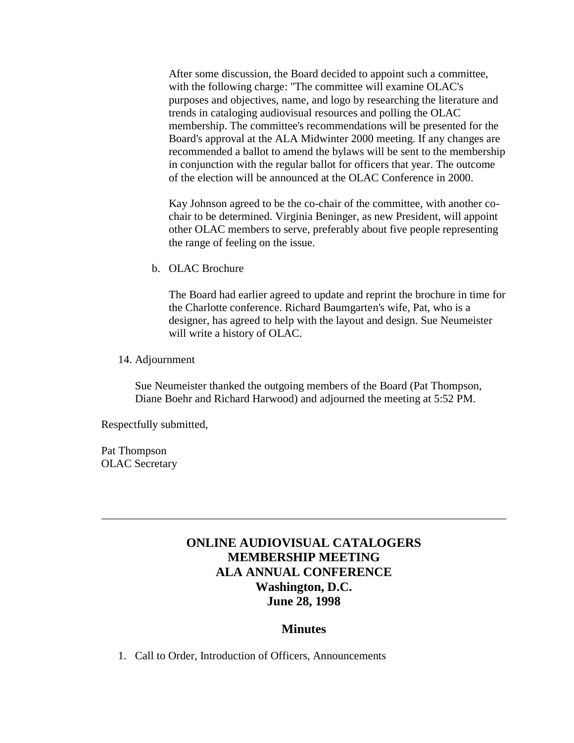After some discussion, the Board decided to appoint such a committee, with the following charge: "The committee will examine OLAC's purposes and objectives, name, and logo by researching the literature and trends in cataloging audiovisual resources and polling the OLAC membership. The committee's recommendations will be presented for the Board's approval at the ALA Midwinter 2000 meeting. If any changes are recommended a ballot to amend the bylaws will be sent to the membership in conjunction with the regular ballot for officers that year. The outcome of the election will be announced at the OLAC Conference in 2000.

Kay Johnson agreed to be the co-chair of the committee, with another cochair to be determined. Virginia Beninger, as new President, will appoint other OLAC members to serve, preferably about five people representing the range of feeling on the issue.

b. OLAC Brochure

The Board had earlier agreed to update and reprint the brochure in time for the Charlotte conference. Richard Baumgarten's wife, Pat, who is a designer, has agreed to help with the layout and design. Sue Neumeister will write a history of OLAC.

14. Adjournment

Sue Neumeister thanked the outgoing members of the Board (Pat Thompson, Diane Boehr and Richard Harwood) and adjourned the meeting at 5:52 PM.

Respectfully submitted,

Pat Thompson OLAC Secretary

## **ONLINE AUDIOVISUAL CATALOGERS MEMBERSHIP MEETING ALA ANNUAL CONFERENCE Washington, D.C. June 28, 1998**

### **Minutes**

1. Call to Order, Introduction of Officers, Announcements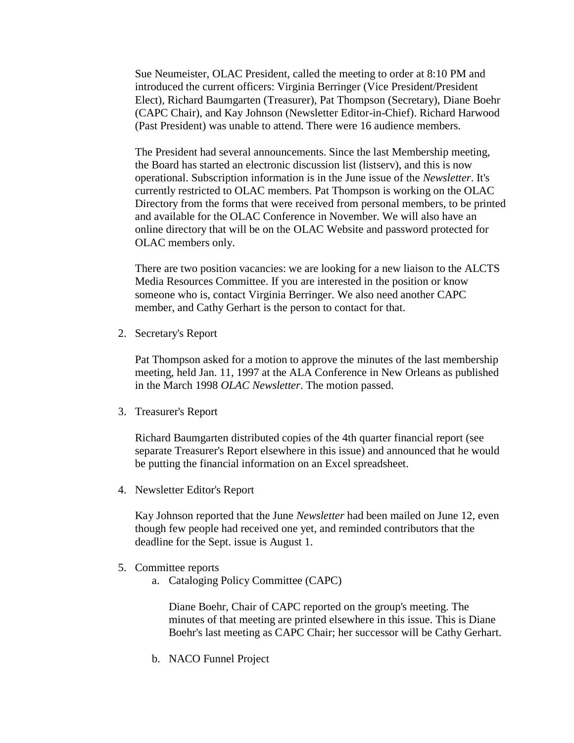Sue Neumeister, OLAC President, called the meeting to order at 8:10 PM and introduced the current officers: Virginia Berringer (Vice President/President Elect), Richard Baumgarten (Treasurer), Pat Thompson (Secretary), Diane Boehr (CAPC Chair), and Kay Johnson (Newsletter Editor-in-Chief). Richard Harwood (Past President) was unable to attend. There were 16 audience members.

The President had several announcements. Since the last Membership meeting, the Board has started an electronic discussion list (listserv), and this is now operational. [Subscription information](http://ublib.buffalo.edu/libraries/units/cts/olac/newsletters/sept98.html#list) is in the June issue of the *Newsletter*. It's currently restricted to OLAC members. Pat Thompson is working on the OLAC Directory from the forms that were received from personal members, to be printed and available for the OLAC Conference in November. We will also have an online directory that will be on the [OLAC Website](http://ublib.buffalo.edu/libraries/units/cts/olac/) and password protected for OLAC members only.

There are two position vacancies: we are looking for a new liaison to the ALCTS Media Resources Committee. If you are interested in the position or know someone who is, contact Virginia Berringer. We also need another CAPC member, and Cathy Gerhart is the person to contact for that.

2. Secretary's Report

Pat Thompson asked for a motion to approve the [minutes](http://ublib.buffalo.edu/libraries/units/cts/olac/newsletters/march98.html#membership) of the last membership meeting, held Jan. 11, 1997 at the ALA Conference in New Orleans as published in the March 1998 *OLAC Newsletter*. The motion passed.

3. Treasurer's Report

Richard Baumgarten distributed copies of the 4th quarter financial report (see separate [Treasurer's Report](http://ublib.buffalo.edu/libraries/units/cts/olac/newsletters/sept98.html#treasurer) elsewhere in this issue) and announced that he would be putting the financial information on an Excel spreadsheet.

4. Newsletter Editor's Report

Kay Johnson reported that the June *Newsletter* had been mailed on June 12, even though few people had received one yet, and reminded contributors that the deadline for the Sept. issue is August 1.

- 5. Committee reports
	- a. Cataloging Policy Committee (CAPC)

Diane Boehr, Chair of CAPC reported on the group's meeting. The [minutes](http://ublib.buffalo.edu/libraries/units/cts/olac/newsletters/sept98.html#capc) of that meeting are printed elsewhere in this issue. This is Diane Boehr's last meeting as CAPC Chair; her successor will be Cathy Gerhart.

b. NACO Funnel Project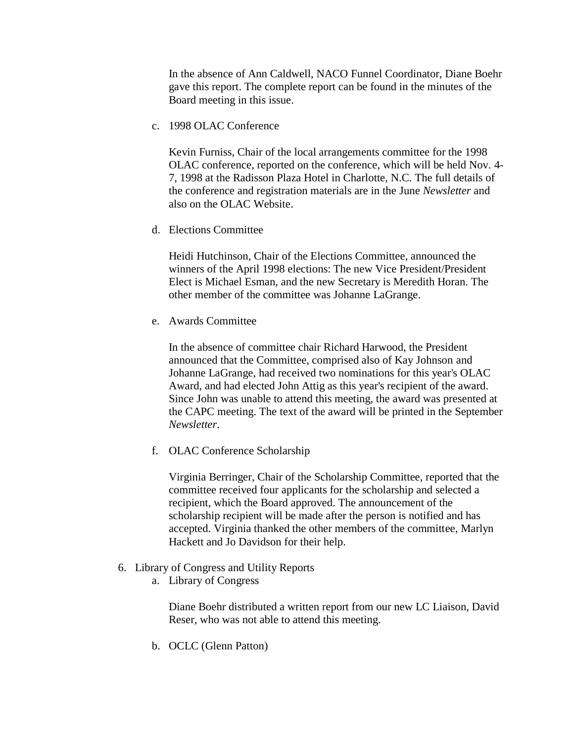In the absence of Ann Caldwell, NACO Funnel Coordinator, Diane Boehr gave this report. The [complete report](http://ublib.buffalo.edu/libraries/units/cts/olac/newsletters/sept98.html#board_mtg) can be found in the minutes of the Board meeting in this issue.

c. 1998 OLAC Conference

Kevin Furniss, Chair of the local arrangements committee for the 1998 OLAC conference, reported on the conference, which will be held Nov. 4- 7, 1998 at the Radisson Plaza Hotel in Charlotte, N.C. The full details of the conference and registration materials are in the June *[Newsletter](http://ublib.buffalo.edu/libraries/units/cts/olac/newsletters/june98.html#conference)* and also on the [OLAC Website.](http://ublib.buffalo.edu/libraries/units/cts/olac/)

d. Elections Committee

Heidi Hutchinson, Chair of the Elections Committee, announced the winners of the April 1998 elections: The new Vice President/President Elect is Michael Esman, and the new Secretary is Meredith Horan. The other member of the committee was Johanne LaGrange.

e. Awards Committee

In the absence of committee chair Richard Harwood, the President announced that the Committee, comprised also of Kay Johnson and Johanne LaGrange, had received two nominations for this year's OLAC Award, and had elected John Attig as this year's recipient of the award. Since John was unable to attend this meeting, the award was presented at the CAPC meeting. The [text of the award](http://ublib.buffalo.edu/libraries/units/cts/olac/newsletters/sept98.html#award) will be printed in the September *Newsletter*.

f. OLAC Conference Scholarship

Virginia Berringer, Chair of the Scholarship Committee, reported that the committee received four applicants for the scholarship and selected a recipient, which the Board approved. The announcement of the scholarship recipient will be made after the person is notified and has accepted. Virginia thanked the other members of the committee, Marlyn Hackett and Jo Davidson for their help.

- 6. Library of Congress and Utility Reports
	- a. Library of Congress

Diane Boehr distributed a written report from our new LC Liaison, David Reser, who was not able to attend this meeting.

b. OCLC (Glenn Patton)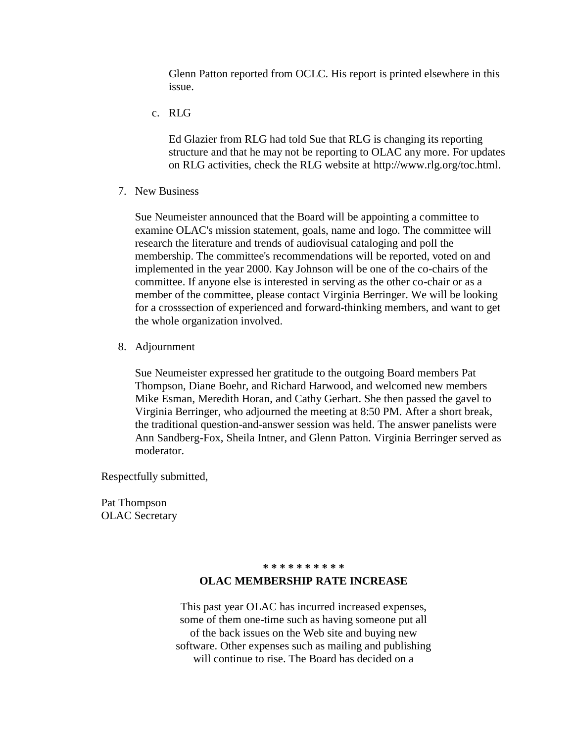Glenn Patton reported from OCLC. His [report](http://ublib.buffalo.edu/libraries/units/cts/olac/newsletters/sept98.html#oclc) is printed elsewhere in this issue.

c. RLG

Ed Glazier from RLG had told Sue that RLG is changing its reporting structure and that he may not be reporting to OLAC any more. For updates on RLG activities, check the RLG website at [http://www.rlg.org/toc.html.](http://www.rlg.org/toc.html)

7. New Business

Sue Neumeister announced that the Board will be appointing a committee to examine OLAC's mission statement, goals, name and logo. The committee will research the literature and trends of audiovisual cataloging and poll the membership. The committee's recommendations will be reported, voted on and implemented in the year 2000. Kay Johnson will be one of the co-chairs of the committee. If anyone else is interested in serving as the other co-chair or as a member of the committee, please contact Virginia Berringer. We will be looking for a crosssection of experienced and forward-thinking members, and want to get the whole organization involved.

8. Adjournment

Sue Neumeister expressed her gratitude to the outgoing Board members Pat Thompson, Diane Boehr, and Richard Harwood, and welcomed new members Mike Esman, Meredith Horan, and Cathy Gerhart. She then passed the gavel to Virginia Berringer, who adjourned the meeting at 8:50 PM. After a short break, the traditional question-and-answer session was held. The answer panelists were Ann Sandberg-Fox, Sheila Intner, and Glenn Patton. Virginia Berringer served as moderator.

Respectfully submitted,

Pat Thompson OLAC Secretary

#### **\* \* \* \* \* \* \* \* \* \***

#### **OLAC MEMBERSHIP RATE INCREASE**

This past year OLAC has incurred increased expenses, some of them one-time such as having someone put all of the back issues on the Web site and buying new software. Other expenses such as mailing and publishing will continue to rise. The Board has decided on a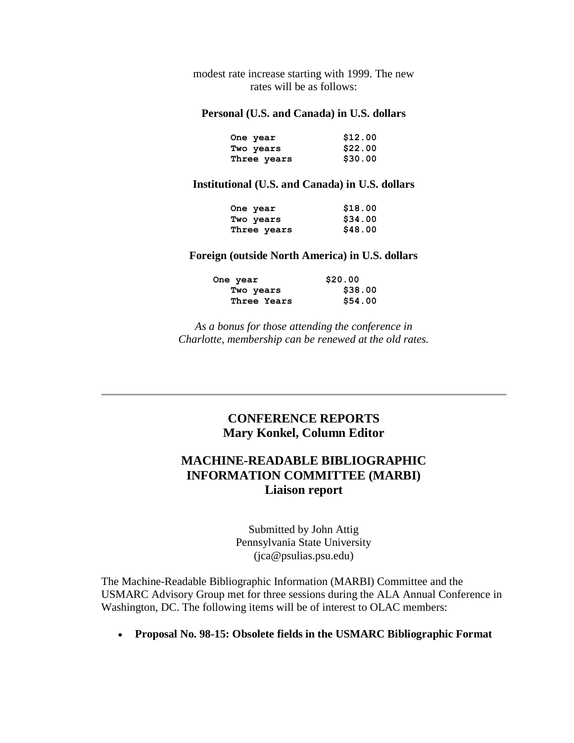modest rate increase starting with 1999. The new rates will be as follows:

#### **Personal (U.S. and Canada) in U.S. dollars**

| One year    | \$12.00 |
|-------------|---------|
| Two years   | \$22.00 |
| Three years | \$30.00 |

#### **Institutional (U.S. and Canada) in U.S. dollars**

| One year    | \$18.00 |
|-------------|---------|
| Two years   | \$34.00 |
| Three years | \$48.00 |

#### **Foreign (outside North America) in U.S. dollars**

| One year    | \$20.00 |
|-------------|---------|
| Two years   | \$38.00 |
| Three Years | \$54.00 |

*As a bonus for those attending the conference in Charlotte, membership can be renewed at the old rates.*

## **CONFERENCE REPORTS Mary Konkel, Column Editor**

## **MACHINE-READABLE BIBLIOGRAPHIC INFORMATION COMMITTEE (MARBI) Liaison report**

Submitted by John Attig Pennsylvania State University [\(jca@psulias.psu.edu\)](mailto:jca@psulias.psu.edu)

The Machine-Readable Bibliographic Information (MARBI) Committee and the USMARC Advisory Group met for three sessions during the ALA Annual Conference in Washington, DC. The following items will be of interest to OLAC members:

**Proposal No. 98-15: Obsolete fields in the USMARC Bibliographic Format**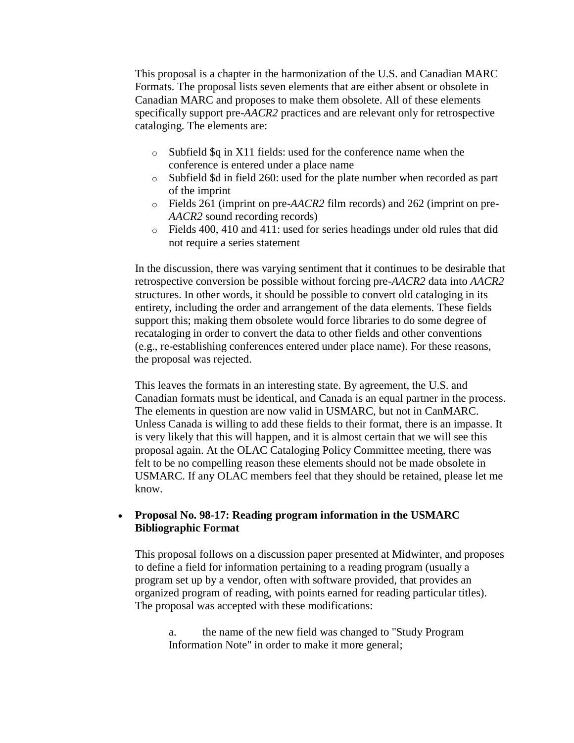This proposal is a chapter in the harmonization of the U.S. and Canadian MARC Formats. The proposal lists seven elements that are either absent or obsolete in Canadian MARC and proposes to make them obsolete. All of these elements specifically support pre-*AACR2* practices and are relevant only for retrospective cataloging. The elements are:

- o Subfield \$q in X11 fields: used for the conference name when the conference is entered under a place name
- o Subfield \$d in field 260: used for the plate number when recorded as part of the imprint
- o Fields 261 (imprint on pre-*AACR2* film records) and 262 (imprint on pre-*AACR2* sound recording records)
- o Fields 400, 410 and 411: used for series headings under old rules that did not require a series statement

In the discussion, there was varying sentiment that it continues to be desirable that retrospective conversion be possible without forcing pre-*AACR2* data into *AACR2* structures. In other words, it should be possible to convert old cataloging in its entirety, including the order and arrangement of the data elements. These fields support this; making them obsolete would force libraries to do some degree of recataloging in order to convert the data to other fields and other conventions (e.g., re-establishing conferences entered under place name). For these reasons, the proposal was rejected.

This leaves the formats in an interesting state. By agreement, the U.S. and Canadian formats must be identical, and Canada is an equal partner in the process. The elements in question are now valid in USMARC, but not in CanMARC. Unless Canada is willing to add these fields to their format, there is an impasse. It is very likely that this will happen, and it is almost certain that we will see this proposal again. At the OLAC Cataloging Policy Committee meeting, there was felt to be no compelling reason these elements should not be made obsolete in USMARC. If any OLAC members feel that they should be retained, please let me know.

### **Proposal No. 98-17: Reading program information in the USMARC Bibliographic Format**

This proposal follows on a discussion paper presented at Midwinter, and proposes to define a field for information pertaining to a reading program (usually a program set up by a vendor, often with software provided, that provides an organized program of reading, with points earned for reading particular titles). The proposal was accepted with these modifications:

a. the name of the new field was changed to "Study Program Information Note" in order to make it more general;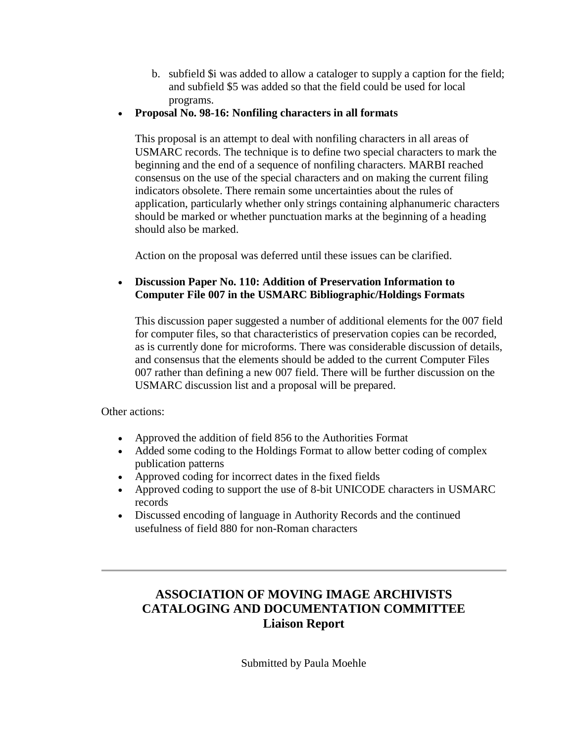- b. subfield \$i was added to allow a cataloger to supply a caption for the field; and subfield \$5 was added so that the field could be used for local programs.
- **Proposal No. 98-16: Nonfiling characters in all formats**

This proposal is an attempt to deal with nonfiling characters in all areas of USMARC records. The technique is to define two special characters to mark the beginning and the end of a sequence of nonfiling characters. MARBI reached consensus on the use of the special characters and on making the current filing indicators obsolete. There remain some uncertainties about the rules of application, particularly whether only strings containing alphanumeric characters should be marked or whether punctuation marks at the beginning of a heading should also be marked.

Action on the proposal was deferred until these issues can be clarified.

### **Discussion Paper No. 110: Addition of Preservation Information to Computer File 007 in the USMARC Bibliographic/Holdings Formats**

This discussion paper suggested a number of additional elements for the 007 field for computer files, so that characteristics of preservation copies can be recorded, as is currently done for microforms. There was considerable discussion of details, and consensus that the elements should be added to the current Computer Files 007 rather than defining a new 007 field. There will be further discussion on the USMARC discussion list and a proposal will be prepared.

Other actions:

- Approved the addition of field 856 to the Authorities Format
- Added some coding to the Holdings Format to allow better coding of complex publication patterns
- Approved coding for incorrect dates in the fixed fields
- Approved coding to support the use of 8-bit UNICODE characters in USMARC records
- Discussed encoding of language in Authority Records and the continued usefulness of field 880 for non-Roman characters

## **ASSOCIATION OF MOVING IMAGE ARCHIVISTS CATALOGING AND DOCUMENTATION COMMITTEE Liaison Report**

Submitted by Paula Moehle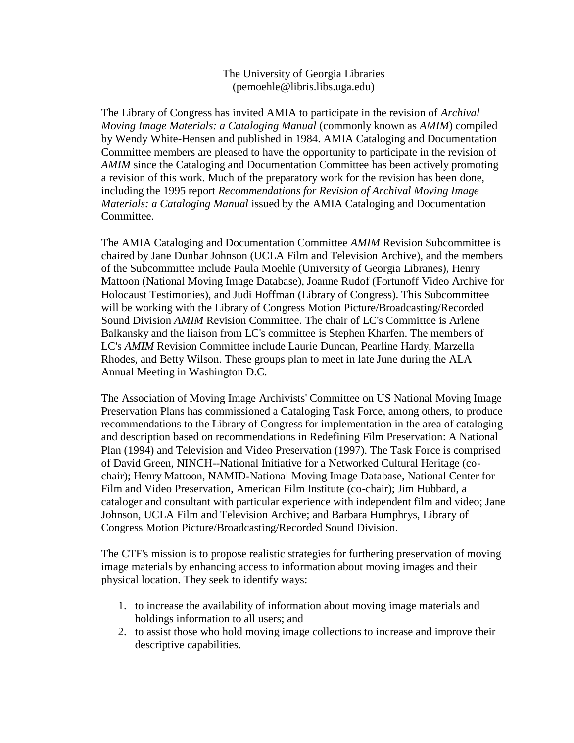### The University of Georgia Libraries [\(pemoehle@libris.libs.uga.edu\)](mailto:pemoehle@libris.libs.uga.edu)

The Library of Congress has invited AMIA to participate in the revision of *Archival Moving Image Materials: a Cataloging Manual* (commonly known as *AMIM*) compiled by Wendy White-Hensen and published in 1984. AMIA Cataloging and Documentation Committee members are pleased to have the opportunity to participate in the revision of *AMIM* since the Cataloging and Documentation Committee has been actively promoting a revision of this work. Much of the preparatory work for the revision has been done, including the 1995 report *Recommendations for Revision of Archival Moving Image Materials: a Cataloging Manual* issued by the AMIA Cataloging and Documentation Committee.

The AMIA Cataloging and Documentation Committee *AMIM* Revision Subcommittee is chaired by Jane Dunbar Johnson (UCLA Film and Television Archive), and the members of the Subcommittee include Paula Moehle (University of Georgia Libranes), Henry Mattoon (National Moving Image Database), Joanne Rudof (Fortunoff Video Archive for Holocaust Testimonies), and Judi Hoffman (Library of Congress). This Subcommittee will be working with the Library of Congress Motion Picture/Broadcasting/Recorded Sound Division *AMIM* Revision Committee. The chair of LC's Committee is Arlene Balkansky and the liaison from LC's committee is Stephen Kharfen. The members of LC's *AMIM* Revision Committee include Laurie Duncan, Pearline Hardy, Marzella Rhodes, and Betty Wilson. These groups plan to meet in late June during the ALA Annual Meeting in Washington D.C.

The Association of Moving Image Archivists' Committee on US National Moving Image Preservation Plans has commissioned a Cataloging Task Force, among others, to produce recommendations to the Library of Congress for implementation in the area of cataloging and description based on recommendations in Redefining Film Preservation: A National Plan (1994) and Television and Video Preservation (1997). The Task Force is comprised of David Green, NINCH--National Initiative for a Networked Cultural Heritage (cochair); Henry Mattoon, NAMID-National Moving Image Database, National Center for Film and Video Preservation, American Film Institute (co-chair); Jim Hubbard, a cataloger and consultant with particular experience with independent film and video; Jane Johnson, UCLA Film and Television Archive; and Barbara Humphrys, Library of Congress Motion Picture/Broadcasting/Recorded Sound Division.

The CTF's mission is to propose realistic strategies for furthering preservation of moving image materials by enhancing access to information about moving images and their physical location. They seek to identify ways:

- 1. to increase the availability of information about moving image materials and holdings information to all users; and
- 2. to assist those who hold moving image collections to increase and improve their descriptive capabilities.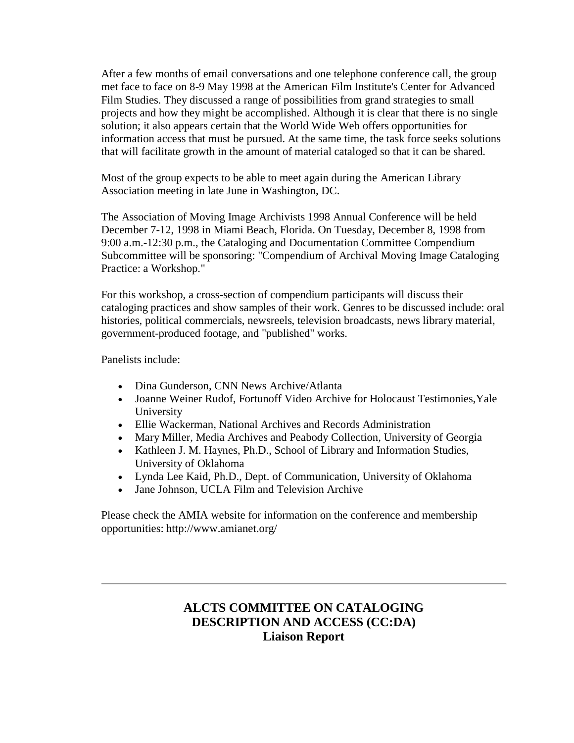After a few months of email conversations and one telephone conference call, the group met face to face on 8-9 May 1998 at the American Film Institute's Center for Advanced Film Studies. They discussed a range of possibilities from grand strategies to small projects and how they might be accomplished. Although it is clear that there is no single solution; it also appears certain that the World Wide Web offers opportunities for information access that must be pursued. At the same time, the task force seeks solutions that will facilitate growth in the amount of material cataloged so that it can be shared.

Most of the group expects to be able to meet again during the American Library Association meeting in late June in Washington, DC.

The Association of Moving Image Archivists 1998 Annual Conference will be held December 7-12, 1998 in Miami Beach, Florida. On Tuesday, December 8, 1998 from 9:00 a.m.-12:30 p.m., the Cataloging and Documentation Committee Compendium Subcommittee will be sponsoring: "Compendium of Archival Moving Image Cataloging Practice: a Workshop."

For this workshop, a cross-section of compendium participants will discuss their cataloging practices and show samples of their work. Genres to be discussed include: oral histories, political commercials, newsreels, television broadcasts, news library material, government-produced footage, and "published" works.

Panelists include:

- Dina Gunderson, CNN News Archive/Atlanta
- Joanne Weiner Rudof, Fortunoff Video Archive for Holocaust Testimonies,Yale University
- Ellie Wackerman, National Archives and Records Administration
- Mary Miller, Media Archives and Peabody Collection, University of Georgia
- Kathleen J. M. Haynes, Ph.D., School of Library and Information Studies, University of Oklahoma
- Lynda Lee Kaid, Ph.D., Dept. of Communication, University of Oklahoma
- Jane Johnson, UCLA Film and Television Archive

Please check the AMIA website for information on the conference and membership opportunities:<http://www.amianet.org/>

## **ALCTS COMMITTEE ON CATALOGING DESCRIPTION AND ACCESS (CC:DA) Liaison Report**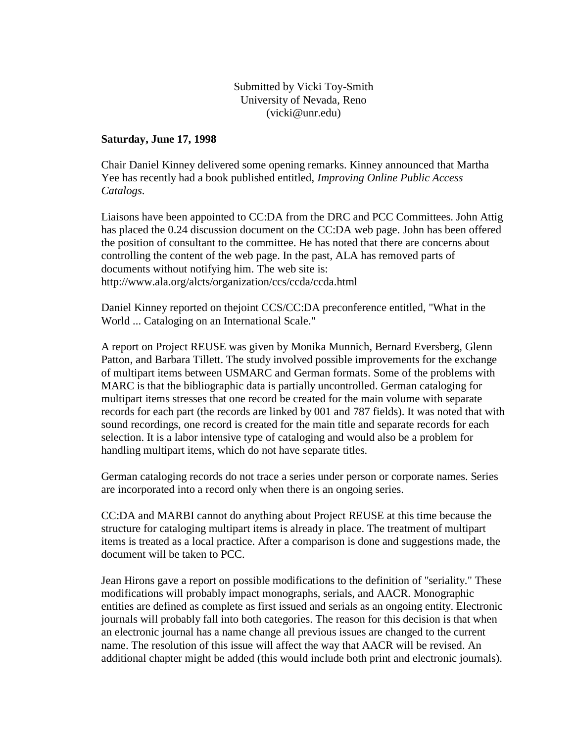### Submitted by Vicki Toy-Smith University of Nevada, Reno [\(vicki@unr.edu\)](mailto:vicki@unr.edu)

#### **Saturday, June 17, 1998**

Chair Daniel Kinney delivered some opening remarks. Kinney announced that Martha Yee has recently had a book published entitled, *Improving Online Public Access Catalogs*.

Liaisons have been appointed to CC:DA from the DRC and PCC Committees. John Attig has placed the 0.24 discussion document on the CC:DA web page. John has been offered the position of consultant to the committee. He has noted that there are concerns about controlling the content of the web page. In the past, ALA has removed parts of documents without notifying him. The web site is: <http://www.ala.org/alcts/organization/ccs/ccda/ccda.html>

Daniel Kinney reported on thejoint CCS/CC:DA preconference entitled, "What in the World ... Cataloging on an International Scale."

A report on Project REUSE was given by Monika Munnich, Bernard Eversberg, Glenn Patton, and Barbara Tillett. The study involved possible improvements for the exchange of multipart items between USMARC and German formats. Some of the problems with MARC is that the bibliographic data is partially uncontrolled. German cataloging for multipart items stresses that one record be created for the main volume with separate records for each part (the records are linked by 001 and 787 fields). It was noted that with sound recordings, one record is created for the main title and separate records for each selection. It is a labor intensive type of cataloging and would also be a problem for handling multipart items, which do not have separate titles.

German cataloging records do not trace a series under person or corporate names. Series are incorporated into a record only when there is an ongoing series.

CC:DA and MARBI cannot do anything about Project REUSE at this time because the structure for cataloging multipart items is already in place. The treatment of multipart items is treated as a local practice. After a comparison is done and suggestions made, the document will be taken to PCC.

Jean Hirons gave a report on possible modifications to the definition of "seriality." These modifications will probably impact monographs, serials, and AACR. Monographic entities are defined as complete as first issued and serials as an ongoing entity. Electronic journals will probably fall into both categories. The reason for this decision is that when an electronic journal has a name change all previous issues are changed to the current name. The resolution of this issue will affect the way that AACR will be revised. An additional chapter might be added (this would include both print and electronic journals).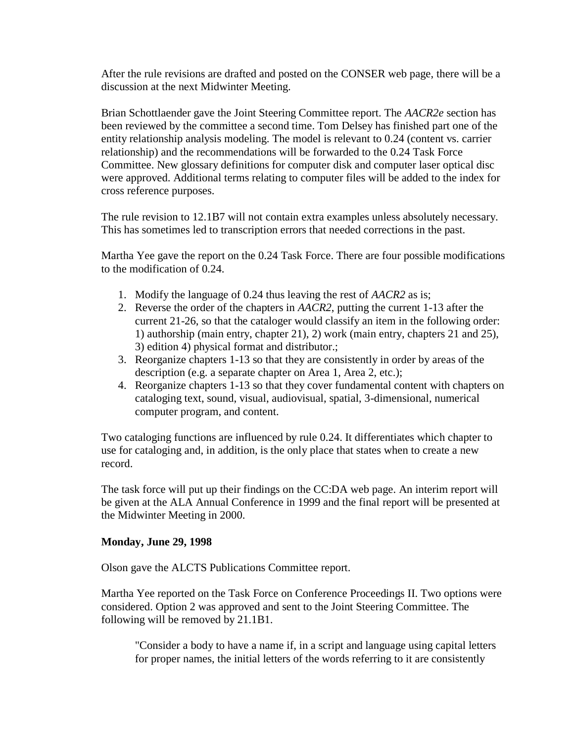After the rule revisions are drafted and posted on the CONSER web page, there will be a discussion at the next Midwinter Meeting.

Brian Schottlaender gave the Joint Steering Committee report. The *AACR2e* section has been reviewed by the committee a second time. Tom Delsey has finished part one of the entity relationship analysis modeling. The model is relevant to 0.24 (content vs. carrier relationship) and the recommendations will be forwarded to the 0.24 Task Force Committee. New glossary definitions for computer disk and computer laser optical disc were approved. Additional terms relating to computer files will be added to the index for cross reference purposes.

The rule revision to 12.1B7 will not contain extra examples unless absolutely necessary. This has sometimes led to transcription errors that needed corrections in the past.

Martha Yee gave the report on the 0.24 Task Force. There are four possible modifications to the modification of 0.24.

- 1. Modify the language of 0.24 thus leaving the rest of *AACR2* as is;
- 2. Reverse the order of the chapters in *AACR2*, putting the current 1-13 after the current 21-26, so that the cataloger would classify an item in the following order: 1) authorship (main entry, chapter 21), 2) work (main entry, chapters 21 and 25), 3) edition 4) physical format and distributor.;
- 3. Reorganize chapters 1-13 so that they are consistently in order by areas of the description (e.g. a separate chapter on Area 1, Area 2, etc.);
- 4. Reorganize chapters 1-13 so that they cover fundamental content with chapters on cataloging text, sound, visual, audiovisual, spatial, 3-dimensional, numerical computer program, and content.

Two cataloging functions are influenced by rule 0.24. It differentiates which chapter to use for cataloging and, in addition, is the only place that states when to create a new record.

The task force will put up their findings on the CC:DA web page. An interim report will be given at the ALA Annual Conference in 1999 and the final report will be presented at the Midwinter Meeting in 2000.

### **Monday, June 29, 1998**

Olson gave the ALCTS Publications Committee report.

Martha Yee reported on the Task Force on Conference Proceedings II. Two options were considered. Option 2 was approved and sent to the Joint Steering Committee. The following will be removed by 21.1B1.

"Consider a body to have a name if, in a script and language using capital letters for proper names, the initial letters of the words referring to it are consistently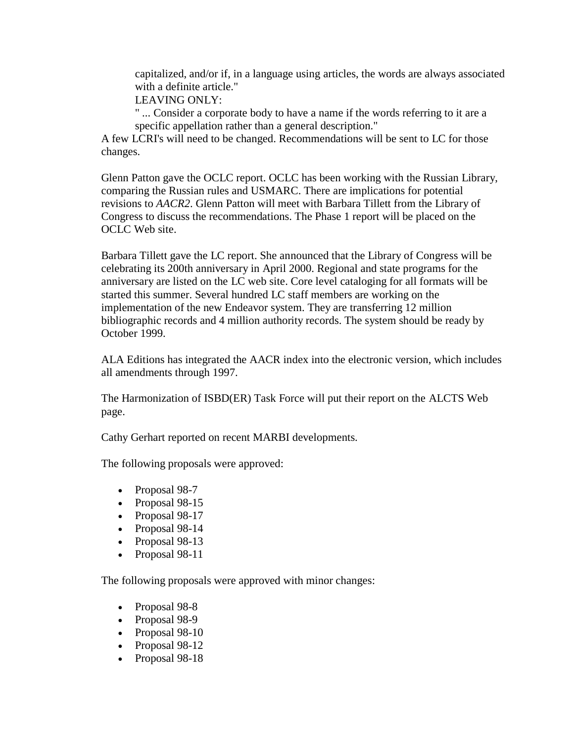capitalized, and/or if, in a language using articles, the words are always associated with a definite article."

LEAVING ONLY:

" ... Consider a corporate body to have a name if the words referring to it are a specific appellation rather than a general description."

A few LCRI's will need to be changed. Recommendations will be sent to LC for those changes.

Glenn Patton gave the OCLC report. OCLC has been working with the Russian Library, comparing the Russian rules and USMARC. There are implications for potential revisions to *AACR2*. Glenn Patton will meet with Barbara Tillett from the Library of Congress to discuss the recommendations. The Phase 1 report will be placed on the [OCLC Web site.](http://www.oclc.org/)

Barbara Tillett gave the LC report. She announced that the Library of Congress will be celebrating its 200th anniversary in April 2000. Regional and state programs for the anniversary are listed on the [LC web site.](http://lcweb.loc.gov/) Core level cataloging for all formats will be started this summer. Several hundred LC staff members are working on the implementation of the new Endeavor system. They are transferring 12 million bibliographic records and 4 million authority records. The system should be ready by October 1999.

ALA Editions has integrated the AACR index into the electronic version, which includes all amendments through 1997.

The Harmonization of ISBD(ER) Task Force will put their report on the [ALCTS Web](http://www.ala.org/alcts/)  [page.](http://www.ala.org/alcts/)

Cathy Gerhart reported on recent MARBI developments.

The following proposals were approved:

- Proposal 98-7
- Proposal 98-15
- Proposal 98-17
- Proposal 98-14
- Proposal 98-13
- Proposal 98-11

The following proposals were approved with minor changes:

- Proposal 98-8
- Proposal 98-9
- Proposal 98-10
- Proposal 98-12
- Proposal 98-18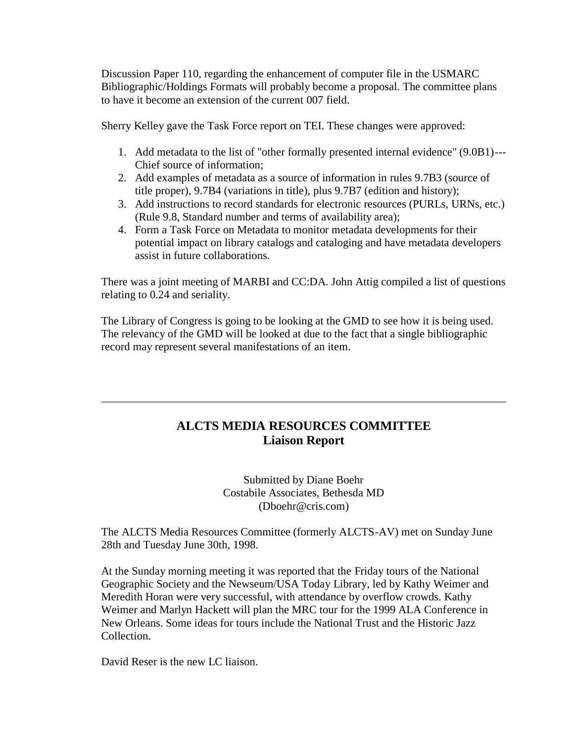Discussion Paper 110, regarding the enhancement of computer file in the USMARC Bibliographic/Holdings Formats will probably become a proposal. The committee plans to have it become an extension of the current 007 field.

Sherry Kelley gave the Task Force report on TEI. These changes were approved:

- 1. Add metadata to the list of "other formally presented internal evidence" (9.0B1)--- Chief source of information;
- 2. Add examples of metadata as a source of information in rules 9.7B3 (source of title proper), 9.7B4 (variations in title), plus 9.7B7 (edition and history);
- 3. Add instructions to record standards for electronic resources (PURLs, URNs, etc.) (Rule 9.8, Standard number and terms of availability area);
- 4. Form a Task Force on Metadata to monitor metadata developments for their potential impact on library catalogs and cataloging and have metadata developers assist in future collaborations.

There was a joint meeting of MARBI and CC:DA. John Attig compiled a list of questions relating to 0.24 and seriality.

The Library of Congress is going to be looking at the GMD to see how it is being used. The relevancy of the GMD will be looked at due to the fact that a single bibliographic record may represent several manifestations of an item.

## **ALCTS MEDIA RESOURCES COMMITTEE Liaison Report**

Submitted by Diane Boehr Costabile Associates, Bethesda MD [\(Dboehr@cris.com\)](mailto:Dboehr@cris.com)

The ALCTS Media Resources Committee (formerly ALCTS-AV) met on Sunday June 28th and Tuesday June 30th, 1998.

At the Sunday morning meeting it was reported that the Friday tours of the National Geographic Society and the Newseum/USA Today Library, led by Kathy Weimer and Meredith Horan were very successful, with attendance by overflow crowds. Kathy Weimer and Marlyn Hackett will plan the MRC tour for the 1999 ALA Conference in New Orleans. Some ideas for tours include the National Trust and the Historic Jazz Collection.

David Reser is the new LC liaison.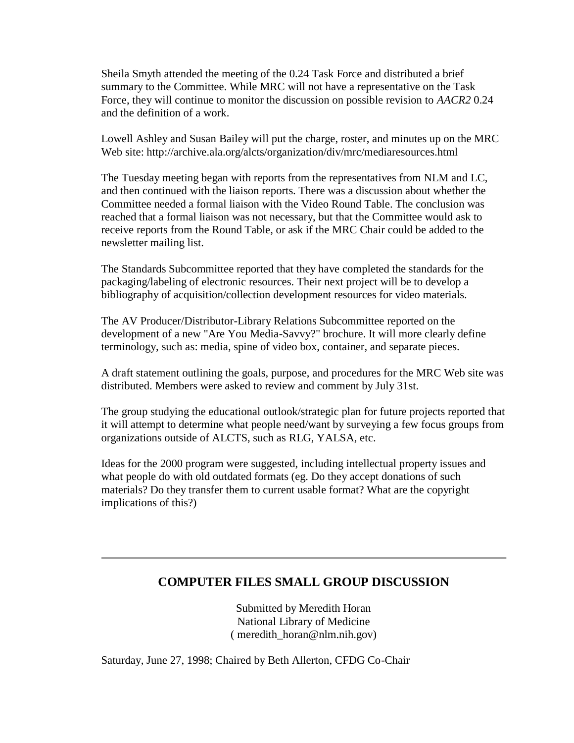Sheila Smyth attended the meeting of the 0.24 Task Force and distributed a brief summary to the Committee. While MRC will not have a representative on the Task Force, they will continue to monitor the discussion on possible revision to *AACR2* 0.24 and the definition of a work.

Lowell Ashley and Susan Bailey will put the charge, roster, and minutes up on the MRC Web site: <http://archive.ala.org/alcts/organization/div/mrc/mediaresources.html>

The Tuesday meeting began with reports from the representatives from NLM and LC, and then continued with the liaison reports. There was a discussion about whether the Committee needed a formal liaison with the Video Round Table. The conclusion was reached that a formal liaison was not necessary, but that the Committee would ask to receive reports from the Round Table, or ask if the MRC Chair could be added to the newsletter mailing list.

The Standards Subcommittee reported that they have completed the standards for the packaging/labeling of electronic resources. Their next project will be to develop a bibliography of acquisition/collection development resources for video materials.

The AV Producer/Distributor-Library Relations Subcommittee reported on the development of a new "Are You Media-Savvy?" brochure. It will more clearly define terminology, such as: media, spine of video box, container, and separate pieces.

A draft statement outlining the goals, purpose, and procedures for the MRC Web site was distributed. Members were asked to review and comment by July 31st.

The group studying the educational outlook/strategic plan for future projects reported that it will attempt to determine what people need/want by surveying a few focus groups from organizations outside of ALCTS, such as RLG, YALSA, etc.

Ideas for the 2000 program were suggested, including intellectual property issues and what people do with old outdated formats (eg. Do they accept donations of such materials? Do they transfer them to current usable format? What are the copyright implications of this?)

### **COMPUTER FILES SMALL GROUP DISCUSSION**

Submitted by Meredith Horan National Library of Medicine ( [meredith\\_horan@nlm.nih.gov\)](mailto:meredith_horan@nlm.nih.gov)

Saturday, June 27, 1998; Chaired by Beth Allerton, CFDG Co-Chair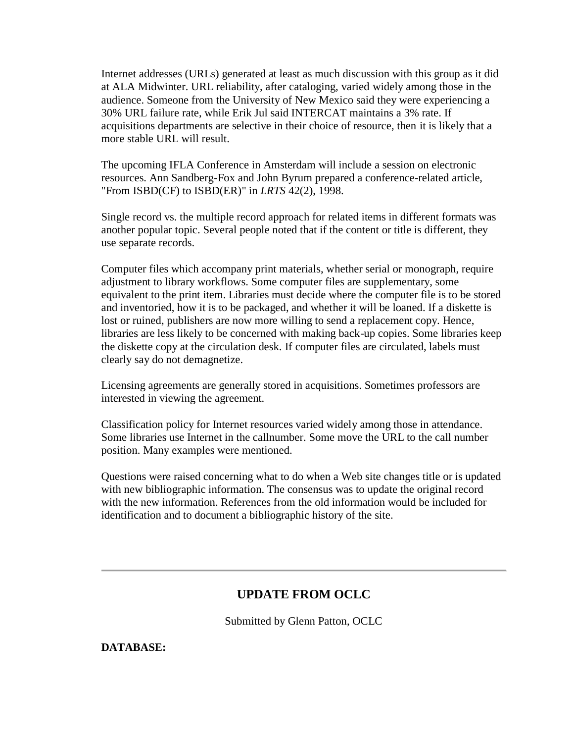Internet addresses (URLs) generated at least as much discussion with this group as it did at ALA Midwinter. URL reliability, after cataloging, varied widely among those in the audience. Someone from the University of New Mexico said they were experiencing a 30% URL failure rate, while Erik Jul said INTERCAT maintains a 3% rate. If acquisitions departments are selective in their choice of resource, then it is likely that a more stable URL will result.

The upcoming IFLA Conference in Amsterdam will include a session on electronic resources. Ann Sandberg-Fox and John Byrum prepared a conference-related article, "From ISBD(CF) to ISBD(ER)" in *LRTS* 42(2), 1998.

Single record vs. the multiple record approach for related items in different formats was another popular topic. Several people noted that if the content or title is different, they use separate records.

Computer files which accompany print materials, whether serial or monograph, require adjustment to library workflows. Some computer files are supplementary, some equivalent to the print item. Libraries must decide where the computer file is to be stored and inventoried, how it is to be packaged, and whether it will be loaned. If a diskette is lost or ruined, publishers are now more willing to send a replacement copy. Hence, libraries are less likely to be concerned with making back-up copies. Some libraries keep the diskette copy at the circulation desk. If computer files are circulated, labels must clearly say do not demagnetize.

Licensing agreements are generally stored in acquisitions. Sometimes professors are interested in viewing the agreement.

Classification policy for Internet resources varied widely among those in attendance. Some libraries use Internet in the callnumber. Some move the URL to the call number position. Many examples were mentioned.

Questions were raised concerning what to do when a Web site changes title or is updated with new bibliographic information. The consensus was to update the original record with the new information. References from the old information would be included for identification and to document a bibliographic history of the site.

## **UPDATE FROM OCLC**

Submitted by Glenn Patton, OCLC

**DATABASE:**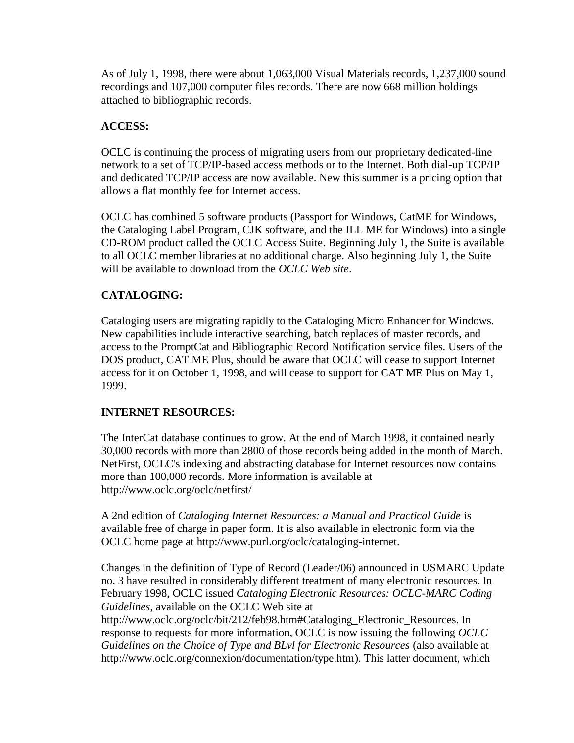As of July 1, 1998, there were about 1,063,000 Visual Materials records, 1,237,000 sound recordings and 107,000 computer files records. There are now 668 million holdings attached to bibliographic records.

### **ACCESS:**

OCLC is continuing the process of migrating users from our proprietary dedicated-line network to a set of TCP/IP-based access methods or to the Internet. Both dial-up TCP/IP and dedicated TCP/IP access are now available. New this summer is a pricing option that allows a flat monthly fee for Internet access.

OCLC has combined 5 software products (Passport for Windows, CatME for Windows, the Cataloging Label Program, CJK software, and the ILL ME for Windows) into a single CD-ROM product called the OCLC Access Suite. Beginning July 1, the Suite is available to all OCLC member libraries at no additional charge. Also beginning July 1, the Suite will be available to download from the *OCLC Web site*.

### **CATALOGING:**

Cataloging users are migrating rapidly to the Cataloging Micro Enhancer for Windows. New capabilities include interactive searching, batch replaces of master records, and access to the PromptCat and Bibliographic Record Notification service files. Users of the DOS product, CAT ME Plus, should be aware that OCLC will cease to support Internet access for it on October 1, 1998, and will cease to support for CAT ME Plus on May 1, 1999.

### **INTERNET RESOURCES:**

The InterCat database continues to grow. At the end of March 1998, it contained nearly 30,000 records with more than 2800 of those records being added in the month of March. NetFirst, OCLC's indexing and abstracting database for Internet resources now contains more than 100,000 records. More information is available at http://www.oclc.org/oclc/netfirst/

A 2nd edition of *Cataloging Internet Resources: a Manual and Practical Guide* is available free of charge in paper form. It is also available in electronic form via the OCLC home page at [http://www.purl.org/oclc/cataloging-internet.](http://www.purl.org/oclc/cataloging-internet)

Changes in the definition of Type of Record (Leader/06) announced in USMARC Update no. 3 have resulted in considerably different treatment of many electronic resources. In February 1998, OCLC issued *Cataloging Electronic Resources: OCLC-MARC Coding Guidelines*, available on the OCLC Web site at http://www.oclc.org/oclc/bit/212/feb98.htm#Cataloging\_Electronic\_Resources. In response to requests for more information, OCLC is now issuing the following *OCLC Guidelines on the Choice of Type and BLvl for Electronic Resources* (also available at [http://www.oclc.org/connexion/documentation/type.htm\)](http://www.oclc.org/connexion/documentation/type.htm). This latter document, which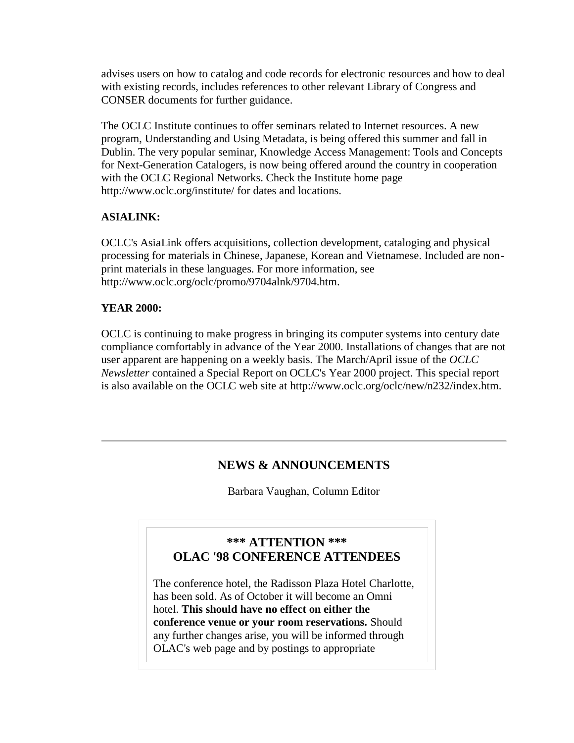advises users on how to catalog and code records for electronic resources and how to deal with existing records, includes references to other relevant Library of Congress and CONSER documents for further guidance.

The OCLC Institute continues to offer seminars related to Internet resources. A new program, Understanding and Using Metadata, is being offered this summer and fall in Dublin. The very popular seminar, Knowledge Access Management: Tools and Concepts for Next-Generation Catalogers, is now being offered around the country in cooperation with the OCLC Regional Networks. Check the Institute home page <http://www.oclc.org/institute/> for dates and locations.

### **ASIALINK:**

OCLC's AsiaLink offers acquisitions, collection development, cataloging and physical processing for materials in Chinese, Japanese, Korean and Vietnamese. Included are nonprint materials in these languages. For more information, see http://www.oclc.org/oclc/promo/9704alnk/9704.htm.

### **YEAR 2000:**

OCLC is continuing to make progress in bringing its computer systems into century date compliance comfortably in advance of the Year 2000. Installations of changes that are not user apparent are happening on a weekly basis. The March/April issue of the *OCLC Newsletter* contained a Special Report on OCLC's Year 2000 project. This special report is also available on the OCLC web site at [http://www.oclc.org/oclc/new/n232/index.htm.](http://www.oclc.org/oclc/new/n232/index.htm)

## **NEWS & ANNOUNCEMENTS**

Barbara Vaughan, Column Editor

## **\*\*\* ATTENTION \*\*\* OLAC '98 CONFERENCE ATTENDEES**

The conference hotel, the Radisson Plaza Hotel Charlotte, has been sold. As of October it will become an Omni hotel. **This should have no effect on either the conference venue or your room reservations.** Should any further changes arise, you will be informed through OLAC's web page and by postings to appropriate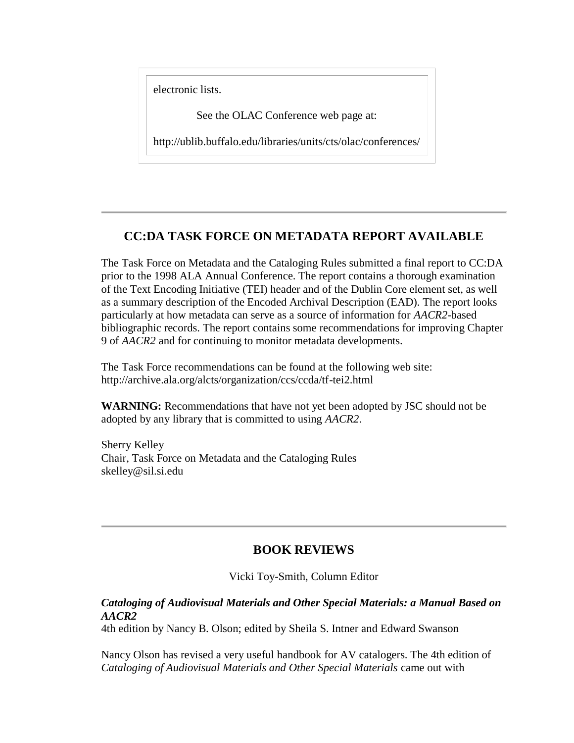electronic lists.

See the OLAC Conference web page at:

<http://ublib.buffalo.edu/libraries/units/cts/olac/conferences/>

## **CC:DA TASK FORCE ON METADATA REPORT AVAILABLE**

The Task Force on Metadata and the Cataloging Rules submitted a final report to CC:DA prior to the 1998 ALA Annual Conference. The report contains a thorough examination of the Text Encoding Initiative (TEI) header and of the Dublin Core element set, as well as a summary description of the Encoded Archival Description (EAD). The report looks particularly at how metadata can serve as a source of information for *AACR2*-based bibliographic records. The report contains some recommendations for improving Chapter 9 of *AACR2* and for continuing to monitor metadata developments.

The Task Force recommendations can be found at the following web site: <http://archive.ala.org/alcts/organization/ccs/ccda/tf-tei2.html>

**WARNING:** Recommendations that have not yet been adopted by JSC should not be adopted by any library that is committed to using *AACR2*.

Sherry Kelley Chair, Task Force on Metadata and the Cataloging Rules [skelley@sil.si.edu](mailto:skelley@sil.si.edu)

## **BOOK REVIEWS**

Vicki Toy-Smith, Column Editor

### *Cataloging of Audiovisual Materials and Other Special Materials: a Manual Based on AACR2*

4th edition by Nancy B. Olson; edited by Sheila S. Intner and Edward Swanson

Nancy Olson has revised a very useful handbook for AV catalogers. The 4th edition of *Cataloging of Audiovisual Materials and Other Special Materials* came out with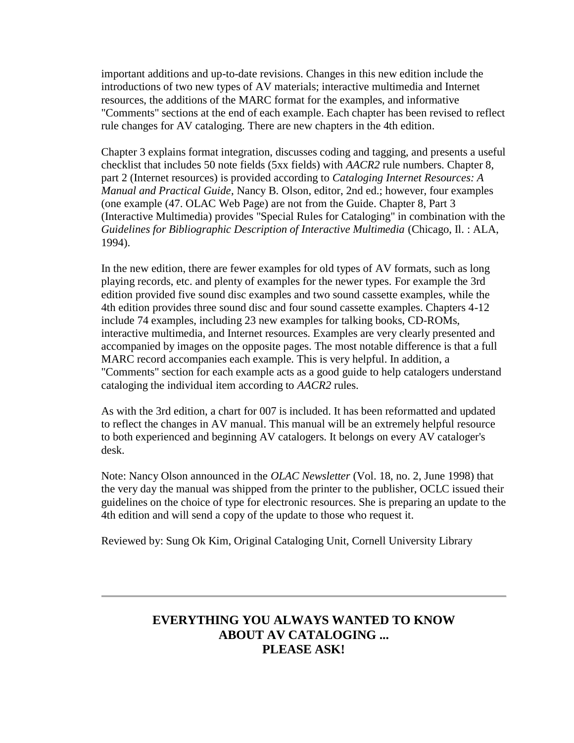important additions and up-to-date revisions. Changes in this new edition include the introductions of two new types of AV materials; interactive multimedia and Internet resources, the additions of the MARC format for the examples, and informative "Comments" sections at the end of each example. Each chapter has been revised to reflect rule changes for AV cataloging. There are new chapters in the 4th edition.

Chapter 3 explains format integration, discusses coding and tagging, and presents a useful checklist that includes 50 note fields (5xx fields) with *AACR2* rule numbers. Chapter 8, part 2 (Internet resources) is provided according to *Cataloging Internet Resources: A Manual and Practical Guide*, Nancy B. Olson, editor, 2nd ed.; however, four examples (one example (47. OLAC Web Page) are not from the Guide. Chapter 8, Part 3 (Interactive Multimedia) provides "Special Rules for Cataloging" in combination with the *Guidelines for Bibliographic Description of Interactive Multimedia* (Chicago, Il. : ALA, 1994).

In the new edition, there are fewer examples for old types of AV formats, such as long playing records, etc. and plenty of examples for the newer types. For example the 3rd edition provided five sound disc examples and two sound cassette examples, while the 4th edition provides three sound disc and four sound cassette examples. Chapters 4-12 include 74 examples, including 23 new examples for talking books, CD-ROMs, interactive multimedia, and Internet resources. Examples are very clearly presented and accompanied by images on the opposite pages. The most notable difference is that a full MARC record accompanies each example. This is very helpful. In addition, a "Comments" section for each example acts as a good guide to help catalogers understand cataloging the individual item according to *AACR2* rules.

As with the 3rd edition, a chart for 007 is included. It has been reformatted and updated to reflect the changes in AV manual. This manual will be an extremely helpful resource to both experienced and beginning AV catalogers. It belongs on every AV cataloger's desk.

Note: Nancy Olson announced in the *OLAC Newsletter* [\(Vol. 18, no. 2, June 1998\)](http://ublib.buffalo.edu/libraries/units/cts/olac/newsletters/june98.html#know) that the very day the manual was shipped from the printer to the publisher, OCLC issued their guidelines on the choice of type for electronic resources. She is preparing an update to the 4th edition and will send a copy of the update to those who request it.

Reviewed by: Sung Ok Kim, Original Cataloging Unit, Cornell University Library

## **EVERYTHING YOU ALWAYS WANTED TO KNOW ABOUT AV CATALOGING ... PLEASE ASK!**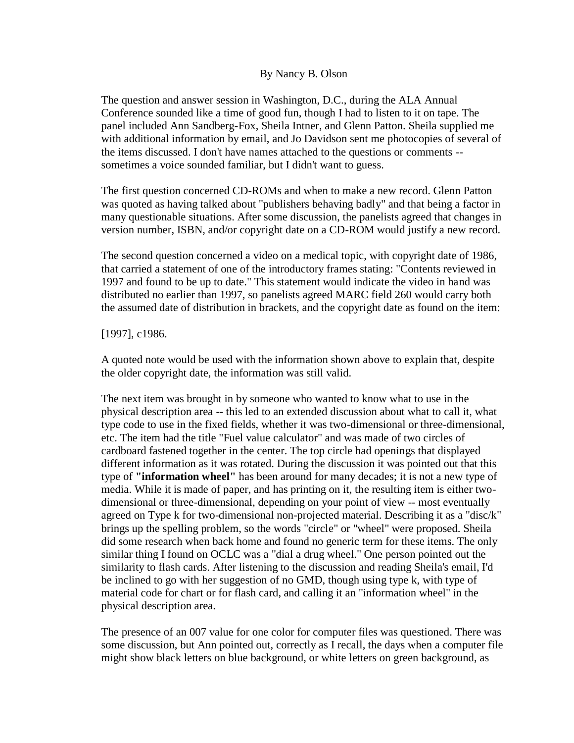#### By Nancy B. Olson

The question and answer session in Washington, D.C., during the ALA Annual Conference sounded like a time of good fun, though I had to listen to it on tape. The panel included Ann Sandberg-Fox, Sheila Intner, and Glenn Patton. Sheila supplied me with additional information by email, and Jo Davidson sent me photocopies of several of the items discussed. I don't have names attached to the questions or comments - sometimes a voice sounded familiar, but I didn't want to guess.

The first question concerned CD-ROMs and when to make a new record. Glenn Patton was quoted as having talked about "publishers behaving badly" and that being a factor in many questionable situations. After some discussion, the panelists agreed that changes in version number, ISBN, and/or copyright date on a CD-ROM would justify a new record.

The second question concerned a video on a medical topic, with copyright date of 1986, that carried a statement of one of the introductory frames stating: "Contents reviewed in 1997 and found to be up to date." This statement would indicate the video in hand was distributed no earlier than 1997, so panelists agreed MARC field 260 would carry both the assumed date of distribution in brackets, and the copyright date as found on the item:

#### [1997], c1986.

A quoted note would be used with the information shown above to explain that, despite the older copyright date, the information was still valid.

The next item was brought in by someone who wanted to know what to use in the physical description area -- this led to an extended discussion about what to call it, what type code to use in the fixed fields, whether it was two-dimensional or three-dimensional, etc. The item had the title "Fuel value calculator" and was made of two circles of cardboard fastened together in the center. The top circle had openings that displayed different information as it was rotated. During the discussion it was pointed out that this type of **"information wheel"** has been around for many decades; it is not a new type of media. While it is made of paper, and has printing on it, the resulting item is either twodimensional or three-dimensional, depending on your point of view -- most eventually agreed on Type k for two-dimensional non-projected material. Describing it as a "disc/k" brings up the spelling problem, so the words "circle" or "wheel" were proposed. Sheila did some research when back home and found no generic term for these items. The only similar thing I found on OCLC was a "dial a drug wheel." One person pointed out the similarity to flash cards. After listening to the discussion and reading Sheila's email, I'd be inclined to go with her suggestion of no GMD, though using type k, with type of material code for chart or for flash card, and calling it an "information wheel" in the physical description area.

The presence of an 007 value for one color for computer files was questioned. There was some discussion, but Ann pointed out, correctly as I recall, the days when a computer file might show black letters on blue background, or white letters on green background, as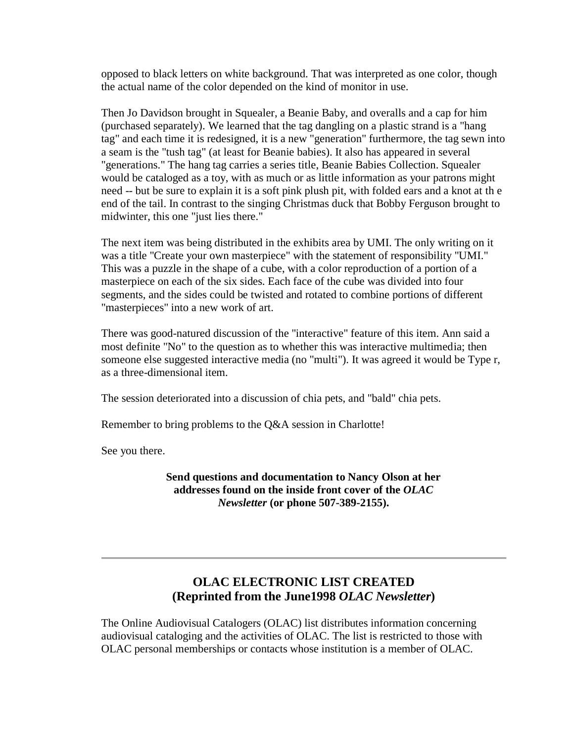opposed to black letters on white background. That was interpreted as one color, though the actual name of the color depended on the kind of monitor in use.

Then Jo Davidson brought in Squealer, a Beanie Baby, and overalls and a cap for him (purchased separately). We learned that the tag dangling on a plastic strand is a "hang tag" and each time it is redesigned, it is a new "generation" furthermore, the tag sewn into a seam is the "tush tag" (at least for Beanie babies). It also has appeared in several "generations." The hang tag carries a series title, Beanie Babies Collection. Squealer would be cataloged as a toy, with as much or as little information as your patrons might need -- but be sure to explain it is a soft pink plush pit, with folded ears and a knot at th e end of the tail. In contrast to the singing Christmas duck that Bobby Ferguson brought to midwinter, this one "just lies there."

The next item was being distributed in the exhibits area by UMI. The only writing on it was a title "Create your own masterpiece" with the statement of responsibility "UMI." This was a puzzle in the shape of a cube, with a color reproduction of a portion of a masterpiece on each of the six sides. Each face of the cube was divided into four segments, and the sides could be twisted and rotated to combine portions of different "masterpieces" into a new work of art.

There was good-natured discussion of the "interactive" feature of this item. Ann said a most definite "No" to the question as to whether this was interactive multimedia; then someone else suggested interactive media (no "multi"). It was agreed it would be Type r, as a three-dimensional item.

The session deteriorated into a discussion of chia pets, and "bald" chia pets.

Remember to bring problems to the Q&A session in Charlotte!

See you there.

**Send questions and documentation to Nancy Olson at her addresses found on the [inside front cover](http://ublib.buffalo.edu/libraries/units/cts/olac/newsletters/staff.html) of the** *OLAC Newsletter* **(or phone 507-389-2155).** 

## **OLAC ELECTRONIC LIST CREATED (Reprinted from the June1998** *OLAC Newsletter***)**

The Online Audiovisual Catalogers (OLAC) list distributes information concerning audiovisual cataloging and the activities of OLAC. The list is restricted to those with OLAC personal memberships or contacts whose institution is a member of OLAC.